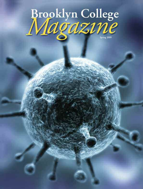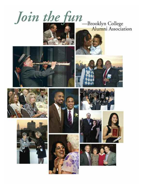























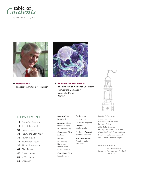

Vol. XXIII • No. 1 • Spring 2009







**13 Science for the Future** The Fine Art of Medicinal Chemistry Reinventing Computing Saving the Planet AREAC



### **DEPARTMENTS**

- **2** From Our Readers
- **4** Top of the Quad
- **24** College News
- **31** Faculty and Staff News
- **35** Alumni News
- **36** Foundation News
- **38** Alumni Newsmakers
- **41** Class Notes
- **48** Recent Books
- **50** In Memoriam
- **52** Endpaper

Editor-in-Chief Pat Willard

Associate Editors Stephen Garone Elaine Weisenberg

Contributing Editor Joe Fodor

Writers Jamilah Evelyn Lisa Lincoln Ernesto Mora Richard Sheridan

Class Notes Editor Eileen E. Howlin

#### Art Director Joe Loguirato

Senior and Magazine Designer Lisa Panazzolo

Production Assistant Mammen P. Thomas

Staff Photographers Claudia Mandlik John Ricasoli

*Brooklyn College Magazine* is published by the Office of Communications Brooklyn College 2900 Bedford Avenue Brooklyn, New York 11210-2889. Copyright © 2009 Brooklyn College. E-mail: bcmag@brooklyn.cuny.edu Website: www.brooklyn.cuny.edu

*Front cover*: *Molecule of life-threatening virus Back cover: Free Speech on the Quad, April 2009*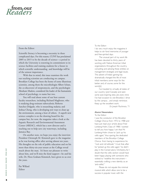# **from our** *Readers*

#### From the Editor:

Scientific literacy is becoming a necessity in these complicated days. For this reason, CUNY has proclaimed 2005 to 2015 to be the decade of science—a period in which the University is renewing its commitment to its science facilities and training students for a future in which scientific understanding and knowledge will be of the utmost importance.

With that in mind, this issue examines the work our teaching scientists are conducting on campus. Brooklyn College has been the home of some illustrious scientists, among them the microbiologist Albert Schatz, the co-discoverer of streptomycin, and the psychologist Abraham Maslow, considered the leader of the humanistic school of psychology, to name but two.

You will read about some of our best current faculty researchers, including Richard Magliozzo, who is studying drug-resistant tuberculosis; Roberto Sanchez-Delgado, who is researching malaria; and Joshua Cheng, who is developing new ways to clean up the environment, among a host of others. A superb new science complex is on the drawing board for the campus but, for now, the magazine takes a look at the Aquatic Research and Environmental Assessment Center (AREAC), which has a new director and is reaching out to help save city waterways, including Jamaica Bay.

On another note, we hope you enjoy the interview President Christoph M. Kimmich gave to the magazine as he was leaving office after serving almost ten years. His thoughts on the role of public education and on his more than thirty-six-year tenure at the College reveal much about the man. It's been our pleasure to write about him, and we'll miss the kind support—he and his wife, Dr. Flora Graham Kimmich, have given to us over the years.

Pat Willard Editor

To the Editor:

I do very much enjoy the magazine; it helps to stir fond memories of younger and free-spirited days.

The unusual part of my work life has been devoted to thirty years of working with Native American tribal organizations throughout the country, consulting and advising these entities on management strategies and legal issues. The advent of Indian gaming has dramatically changed the life of most tribal members; some ways for the better and, of course, some for the wors[e].

I've traveled to virtually all states of our country (and Canada) and seen some awe-inspiring sites; yet, every time I've had occasion to visit Brooklyn, I drive by the campus…and simply reminisce. Keep up the excellent work.

*Dr. Joseph Pluchinota, '71*

#### Alumni Newsmakers

To the Editor:

I was the conductor of the Brooklyn College Chorus from 1972 to 1988 and have just read your article about Fred Lonberg-Holm, Class of 1988. I wanted to tell you how happy I am that Mr. Lonberg-Holm chose to "pick up his cello again," thus sparing the dedicated members of the Brooklyn College Chorus from having to experience his "rock and roll attitude." I trust that, after he "picked up the cello again," he didn't play in the Conservatory Orchestra, for I doubt that the cello section would have been happy playing with someone who wished to "redefine the instrument essentially crafting a new identity as an 'anti-cellist.'"

Please do not equate the minimal musical skills which allow one to be a success in popular music with the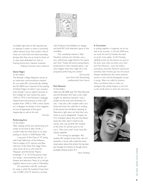

incredibly high level of skill required just to attempt a career in what is commonly called classical music.Your article is full of what you must think are clever-sounding phrases. But they are an insult to those of us who have dedicated our lives to training tomorrow's classical musicians.

*Professor Emeritus Harry Saltzman*

#### Dante Negro

To the Editor:

The *Brooklyn College Magazine* serves as an important communications medium for our entire BC community. By reading the fall 2008 issue I learned of the passing of Dante Negro of which I was unaware even though I was an adjunct lecturer at the College for over twenty-five years, 1949 to 1974, in the Romance Language Department and previous to that a BC student from 1940 to 1946. I knew Dante as a colleague. So thanks to the magazine, we are all appraised of the good happenings as well as the sad.

*Paul Ash*

#### Performing Arts

To the Editor:

After reading of the new performing arts center to be built at dear old BC, I couldn't help but think back to my days putting on shows in 4200 Boylan Hall.

I was part of the Class of '47, along with Fred Hellerman of the Weavers, Marvin Kaplan of TV sitcoms, and Ben Hammer of the New York stage.There were some 20 of us who lived for Masquers and the Varsity Players; amazingly, 17 or 18 of that group made our livings—and sometimes still do—in theatre and television. Many of us still get together about once a year in Manhattan.

My association with BC continued for quite a while: My husband, Frank, then one of NBC's first TV directors, worked

with Professor Paul Willliams to design and build BC's first television space in the mid-fifties.

Our wonderful mentors,"Skip" Davidson (whose son, Gordon, was a very well-known stage director for years) and "Doc" Foster, did some extraordinary productions in that cramped space. I can only imagine what they might do in the proposed performing arts center!

> *Doris Jacoby (neé Doris Faith Rosenzweig, professionally Doris Storm)*

#### Paul Newman

To the Editor:

Liked your fall 2008 issue.The "Paul Newman and the Brooklyn Kid" back cover really caught my attention, because I was a student at the time and remember his visit. I was also a film student with Larry Gold and knew him well. But in looking at the photo, the tall fellow standing to Newman's right does not look like Larry Gold, as you've designated. Forgive me if I'm mistaken about this, but that fellow looks like Glen (don't recall his last name), who was another film student at the time. I'm almost sure it's not Larry. Glen, Larry, and I took many film classes together.

If I'm wrong, my apologies. But another film student at the time, who I'm presently in touch with, made the same observation about the photo. No big deal. Just thought I'd mention it, though you're probably already aware of it.

*Steve Feinberg*

#### A Correction

*In putting together a magazine, we do our best to be accurate. In the fall 2008 issue we made the kind of mistake that kept us up for many nights. As Mr. Feinberg rightfully points out, the picture we used on the back cover does not show Larry Gold with Paul Newman. Larry did, indeed, accompany and drive Newman around, but somehow Glen Frontera got into the picture. Despite identification from three separate sources on the archival photograph, we got it wrong. When we called his parents, Hilary and Arlene Gold, to make our apologies, they quickly forgave us and lent us this terrific photo to show the real Larry.*

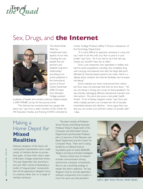**Top of** *the Quad*

# Sex, Drugs, and **the Internet**



The World Wide Web has transformed many aspects of our lives, including the way people find sex partners and establish long-term relationships, according to an article published in the *International Journal of Sexual Health*, November 2008. Christian Grov, Brooklyn College assistant

professor of health and nutrition sciences, helped analyze a 2004 MSNBC survey for the journal article.

"The Internet has revolutionized how people talk about sex," says Grov, a team member of the Center for HIV Education Studies and Training (CHEST), directed by Hunter College Professor Jeffrey T. Parsons, chairperson of the Psychology Department.

"It is more difficult to approach someone in a bar, and say,'I want to do this with you,' than to post it in your profile," says Grov. "So if you had to do it the old way, maybe you wouldn't have sex as often."

Grov, a sex researcher who specializes in hidden and hard-to-reach populations, including club (multiple) drug users and gay and bisexual men, likes the large data pool afforded by Internet-based research, but notes,"there is a debate about whether the Internet facilitates and increases risk-taking."

Some websites are more controversial than others, but Grov does not advocate that they be shut down. "All you are doing is closing your access to that population," he says, thereby sabotaging effective educational outreach and intervention. Do some sites pose a real public health threat? "A lot of fantasy happens online," says Grov, and while multiple partners can increase the risk of sexually transmitted disease and infection, "some argue that now that you can screen your partners online, it's actually safer." —L.L.

# Making a Home Depot for **Mixed Realities**

Software designers of the future will need greater sophistication and a wider variety of interface devices to pursue their goals. At least that's what a team of Brooklyn College researchers thinks. This past September they launched a two-year effort aimed at developing a toolkit of "plug-and-play" components that will let applications designers focus on creativity, rather than on a tangle of interface hardware.

The team consists of Professor Simon Parsons and Visiting Associate Professor Sheila A.Tejada, both of the Computer and Information Science Department, and Associate Professor John J. A. Jannone, of the Television and Radio Department and the Center for Computer Music. Their work is being funded by an National Science Foundation grant of nearly \$200,000. Tejada is serving as principle investigator.

Parsons, whose area of research includes communication among autonomous computer components, likes to use a plumbing analogy to explain the team's objective. He says designers have to encode application software components from scratch in much the same way that plumbers *Left to right: Simon Parsons, Sheila Tejada,*

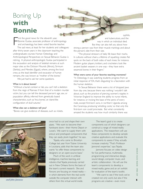# Boning Up **with Bonnie**

F irst the good news: for the eleventh year, Bonnie Gustav, associate professor of anthropology and archaeology, has been voted favorite teacher. The sad news, at least for her students and colleagues: after thirty-seven years in the classroom teaching the undergraduate courses Human Osteology and Anthropological Perspectives on Sexual Behavior, Gustav is retiring. A physical anthropologist, Gustav participated in the excavation and analysis of skeletal remains at such major sites as the Dickson Mounds (Illinois), Sirmium (Serbia), and Mendes (Egypt), where, among the local crew, as the lead identifier and excavator of human remains, she was known as "mother of the bones."

We just had to ask her some questions.

#### What is it about bones?

"Without a burial context or lab, you can't tell a skeleton from the reign of Ramses II from that of a modern murder victim, but you can tell the deceased person's age, sex, or population affinity, inferred from genetically based characteristics, such as 'Inca bones,' an island-like configuration of skull sutures."

#### What else can a skeleton tell you?

"Bones can give evidence of diseases, such as rickets,

syphilis, and tuberculosis, and the way in which an individual died. But they can also tell you about how strong a person was from their muscle markings and about the person's diet from their size.

"The physical stressors of daily life leave their marks. In cultures without chairs, a lifetime of squatting creates flat spots on the back of both sides of each knee, for instance. Modern guitar players, knitters, and crocheters look like ancient basket weavers in one way—they have extra sesamoid bones in their fingers."

#### What were some of your favorite teaching moments?

"In Osteology, it was watching students progress from an initial response of 'Oh, that's disgusting' to a fascination with the human skeleton.

"In Sexual Behavior there were a lot of dropped jaws from day one, because there was nothing I wouldn't talk about, such as the practice of piercing women's nipples in Victorian England to improve the ability to nurse infants, for instance, or incising the base of the penis of every male, except first-born sons, in northern Uganda among the Caramoja, producing 'whistling cocks,' so that only the first-born son could procreate. But what consistently amazed the students was how much similarity there was



once had to cut and shape their own pipes. "We want to become their hardware store—their Home Depot or Lowe's. We want to supply them with precut and preshaped components that they can easily plunk together," he says.

 $\frac{1}{2}$ 

Tejada, who came to Brooklyn College last year from Tulane University in Louisiana, adds that the team also wants "to offer these components to designers on an open-source basis."

Much of the work in artificial intelligence, machine learning, and robotics that Tejada previously carried out in New Orleans forms the basis of the team's current research. She and Parsons are focusing on mixed reality in which elements from the real world outside the computer interact with others from the virtual world inside. and *John Jannone*<br>
others from the virtual world inside. By programs are creative—even more

The team's goal is to create components out of which designers can construct a range of mixed-reality applications. The researchers will use these components to develop sample creative applications and evaluate the components to assess if they actually increase creativity."That's Professor Jannone's expertise," says Tejada.

Jannone focuses on video design for live performance, multimedia programming and interactive design, sound design, computer music, and artistic collaboration. He will use the team's components to develop a mixed-reality game and an art exhibit for evaluation of the team's toolkit.

"We want to see if the tools we've created not only work, but also if the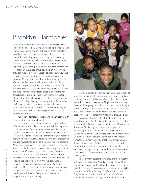# Brooklyn Harmonies

t's just all so much for these second- and third-graders at<br>Brooklyn's P.S. 152. Learning to read and play instrumer<br>music is daunting enough, but now all these reporters<br>from NBC and BBC want to intensieve them. There are Brooklyn's P.S. 152. Learning to read and play instrumental music is daunting enough, but now all these reporters from NBC and BBC want to interview them. There are release forms their parents have to sign and upcoming concerts in which they will showcase what they've been learning to the rest of the school, not to mention the important guests from places like the Brooklyn Philharmonic.

Many of these kids arrive at school at 7:30 a.m. so they can receive a free breakfast. It's past 4 p.m. now, and they're still being asked to sit still—and to focus. The Brooklyn College students who are here training the kids after school five days a week on the violin, cello, flute, trumpet, trombone, and percussion like that word "focus." Katherin Xiang, seven, so tiny in her bright pink sweatshirt and fuzzy ponytail, hardly looks capable of carrying her cello, let alone playing it. And when Xiang's instructor, Hyejin Cho, who will graduate from the Conservatory of Music of Brooklyn College this spring with a B.A. in cello performance, calls on her for a practice solo, Kawan Joseph, also seven, can't handle it. He was expecting to be called on as well, because everyone else so far has practiced in a duet.

"Only her?" complains Joseph, who's been fiddling with his music book for several minutes.

These seven- and eight-year-olds are eager to show off their skills and to play in harmony, which just happens to be the name of the organization responsible for their training—the Harmony Program. Housed within CUNY's Office of Academic Affairs, the Harmony Program recently recruited Brooklyn College students for a pilot program to provide musical instruction to elementary school students. Modeling its approach on the world-famous El Sistema in Venezuela, the Harmony Program trained a group of about a half dozen Conservatory of Music undergraduates, graduate students, and recent alumni. This year, those musicians in turn trained forty-three students from P.S. 152, located just a few blocks from the College. Like El Sistema––Venezuela's National System of Youth and Children's Orchestras––the program has a social mission: to transform the lives of low-income, at-risk, and specialneeds youth. It is one of only a handful of similar programs around the country.



"We simultaneously want to train a new generation of music teachers and introduce music to a new generation of students who probably would never have been exposed to music in this way," says Anne Fitzgibbon, the executive director of the program. "Music is so much more than just learning to play an instrument. It can change a child's life. It teaches children to communicate with each other, to cooperate, and to express their individual creative voices."

Fitzgibbon, who also holds the title of director of operations and is the deputy to the senior university dean for academic affairs and dean of the School of Professional Studies at CUNY, originally began the program in partnership with the New York City Department of Education. It has received funding from the Independence Community Foundation, the Morris and Alma Shapiro Fund, the Bernstein Family Foundation, City Councilman Kendall Stewart, and CUNY. The children are provided with musical instruments, books, and other supplies. They also have the opportunity to attend concerts, lectures, and other events at famous venues around the city, such as Carnegie Hall.

"The Harmony students think they are the hot stars, and they really are," says Rhonda Farkas, principal of P.S. 152, where enough students live at or below the poverty level that the school has universal free lunch and is eligible for additional federal funding."They're the 'in' crowd. They've earned the admiration and respect of their schoolmates. Everyone is very excited about it." - J.E.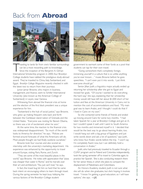# Back from **Abroad**



raveling to lands far from one's familiar surroundings can be a most rewarding path to knowledge. Since the inception of the Benjamin A. Gilman International Scholarship program in 2000, four Brooklyn College students have nabbed the prestigious study-abroad award. They've traveled to China, Italy, Switzerland, and Egypt. *Brooklyn College Magazine* recently checked in with the latest two to return from their journeys.

Junior Jamar Browne, who majors in business, management, and finance, went to Schiller International University (also known as the American College of Switzerland) in Leysin, near Geneva.

Witnessing from abroad the financial crisis at home and the election of the first black president was a unique experience for him.

"Switzerland is the hub of social justice," says Browne, who grew up making frequent visits back and forth between the Caribbean island nation of Grenada and the United States. "Everyone was rooting for Barack Obama, so there was a lot of excitement when he won."

At the same time, the reaction to the financial crisis was widespread disappointment. "So much of the world looks to America for direction," he says. "Policies are formed around forecasts of what the Americans will do. Most people thought we had finally outdone ourselves."

Browne took four courses and also scored an internship with the university's marketing department. His experience was enhanced by the opportunity to travel around Europe, visiting Paris, Rome, and Zurich.

"They are some of the most beautiful places in the world," says Browne. He notes with appreciation that "pizza was cheaper than water in Rome," and he marvels over their art and architecture."You just can't lose," he says.

In fact, the travel bug bit him so hard that he came back intent on encouraging others to learn through travel. During the spring semester he kept busy lobbying the various factions of the Brooklyn College student

government to earmark some of their funds as a pool that students can tap for their own travel.

"Going somewhere that's completely foreign, immersing yourself in a culture that is so unlike anything you've ever known…" muses Browne before he goes speechless. "I can't even put it into words. I just think everyone should go."

Senior Jillian Justh, a linguistics major, actually ended up returning her scholarship after she got to Egypt and revised her goals. "Of course I wanted to do everything the hard way," she says, explaining that her scholarship money would still have left her about \$1,000 short of her tuition and fees at the American University in Cairo, not to mention the cost of accommodations and food. "My main goal was to learn Arabic, and I thought I could do that if I lived in Cairo on my own."

So she contacted some friends of friends and ended up moving around Cairo for some two months. "I had taken Spanish for a year at Brooklyn College and got an A, but I couldn't speak it well until I went to South America for two months and immersed myself in it. I decided that would be the best way to go about learning Arabic, too. I would hang out with a big group of Egyptians and just write words down and ask a lot of questions," says Justh, who knew four Arabic words before the trip. "I won't say I'm completely fluent now, but I can definitely hold a conversation in Arabic."

Justh, who had previously traveled to Ecuador through a CUNY program and to Poland and Colombia independently, took the spring semester off to travel to Colombia again, to practice her Spanish. She is also conducting research there for her senior thesis, in which she plans to compare the displacement of Palestinians and Colombians.

An Honors Academy student, Justh is not sure what she will do when she graduates, but she's hoping it involves travel. "I know I'm getting a good education, so I will have options," she says. —J.E.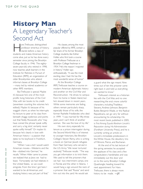# **History Man** A Legendary Teacher's Second Act

ans Trefousse, distinguished professor emeritus of history, stands before a class of students and makes American history come alive, just as he has done every semester since joining the Brooklyn College faculty in 1946. The eightyseven-year-old, who retired in 1998, now teaches adult learners in the Institute for Retirees in Pursuit of Education (IRPE), an organization of older Brooklynites who attend informal classes at Brooklyn College —many led by retired academics or other IRPE members.

But Trefousse is special. Maybe it's because he's one of the most prolific living historians of the Civil War, with ten books to his credit (seventeen counting the volumes he's edited). Maybe it's because of his waggish charm, as when he interrupts his lecture to peer at his class from beneath shaggy eyebrows and points out that Teddy Roosevelt, who "may have coined the phrase 'speak softly and carry a big stick,' certainly never spoke softly himself." Or maybe it's because he's clearly in love with American history—a passion that dates to his boyhood in Frankfurt, Germany.

"When I was a kid I would watch American movies—Westerns and the like—dubbed into German," he recalls."When Hitler came to power, we realized that as Jews we had to leave. Fortunately we had relatives in the United States, so we could emigrate. From the time I got here I wanted to be all-American, and studying history was just part of that."

His classes, among the most popular offered by IRPE, contain a fair share of his former Brooklyn College students, like Esther Holler, who first took a course with Professor Trefousse as a Brooklyn College freshman in 1954."He's the reason I majored in history," Holler says enthusiastically. "It was the most exciting class I had. He has the most wonderful sense of humor."

At the Brooklyn College IRPE,Trefousse teaches a course on modern American diplomatic history and another on the Civil War and Reconstruction. He drives to campus from his home in Staten Island, but he's slowed down in recent years. While some memories are fading, others remain particularly sharp, especially those of his wife, the former Rashelle Friedlander, who died in 1999: "I was married for fifty-three years, and I can't think of another woman. She was the love of my life."

His own story, especially his tenure as a prison interrogator during the Second World War, is of interest to younger historians, like Brooklyn College's Steven Remy, who is writing a book on German Jewish refugees from Nazi Germany who served in the U.S. Army."We never tortured anybody,"Trefousse recalls. "The way you get information is to trick them. We used to tell the prisoners that we had two internment camps, one in Florida and the other in Siberia. I would hang a sign around the neck of a prisoner that said "Russia" and send him out into the yard. He would ask



a guard what the sign meant. Nine times out of ten the prisoner came right back in and told us everything we wanted to know."

Trefousse's interest as a historian lies with the Civil War, and no one researching the era's more colorful characters, including Thaddeus Stevens, Andrew Johnson, Benjamin Butler, Benjamin Wade, or the Radical Republicans, can go very far without encountering his scholarship. His most recent book, published in 2005, is *First Among Equals:Abraham Lincoln's Reputation during His Administration* (Fordham University Press), and he is currently writing an article on Lincoln's immediate predecessors in the White House, the desultory trio of Fillmore, Pierce, and Buchanan.

At the end of his last lecture of the spring semester, he accepted the applause of his class and a few congratulatory handshakes and was immediately out the door and on to the sunny Brooklyn College Quadrangle, heading toward his next appointment. For Hans Trefousse, there is always more history to be made. -J.F.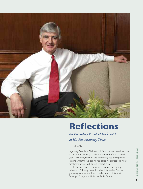

# **Reflections**

## *An Exemplary President Looks Back at His Extraordinary Times.*

### by Pat Willard

In January, President Christoph M. Kimmich announced his plans to retire from Brooklyn College at the end of this academic year. Since then, much of the community has attempted to imagine what the College he has called his professional home for thirty-six years will be like without him.

In the midst of a busy spring schedule—and giving no indication of slowing down from his duties—the President graciously sat down with us to reflect upon his time at Brooklyn College and his hopes for its future.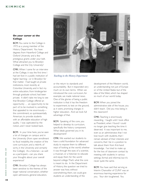#### **On your career at the College**

**BCM:** You came to the College in 1973 as a young member of the History Department. You have degrees from Haverford College and Oxford University and a few prestigious grants under your belt. What attracted you to Brooklyn College and the City University?

CMK: When I came for an interview at the College, it was the first time I had set foot in a public institution of higher learning—or in Brooklyn for that matter. I had taught at private institutions, most recently at Columbia University, and in fact my entire education, from kindergarten through graduate school, had been private. It didn't take me long to see that Brooklyn College offered an opportunity … an opportunity to be part of, to be involved in, something that appealed to me enormously the commitment, so quintessentially American, to provide students with an affordable education of high quality. I was captivated by the notion, and I never looked back.

**BCM:** In your time here, you've seen a lot of changes on campus and in the University (from open enrollment to fiscal instability, the creation of the core curriculum, and a rebirth, of sorts, in the University and certainly the College). As a historian—as well as a participant—can you share your thoughts about your overall experience?

CMK: Brooklyn College has always been sensitive to the themes of the larger national conversation, whether open admissions, general education,



*Teaching in the History Department*

or the return to standards and accountability. But it responded very much on its own terms. When we introduced the core curriculum, for example, we made national news. One of the glories of being a public institution is that it has the freedom to experiment, to test on the ground, as it were, promising changes in higher education. And we took full advantage of that.

**BCM:** Speaking of the core, you helped to develop its curriculum, specifically the history component. What ideals governed you in its development?

CMK: We wanted our students to have a solid foundation for advanced study; to expose them to different ways of looking at the world, whether it was through the eyes of a scientist, a musician, or a historian; to educate and equip them for the world beyond college.That's what the core is meant to do. In the Department of History, the question we tried to answer was how, without overwhelming them, we could give students an understanding of the

development of the Western world, an understanding not just of Europe or of the United States but of the idea of the West, which has shaped so much of our world today.

**BCM:** When you joined the administrative side of the house, you didn't teach. Did you miss being in the classroom?

CMK: Teaching is enormously rewarding. I taught until I took office as President, when I found I could no longer give teaching the time it deserved. It was important to me, even as an administrator, that I not lose touch with students, that I remain abreast of their interests and concerns, that I be in a position to talk about them from first-hand knowledge. I've tried to make up for the loss of classroom contact by meeting with students in various settings, formal and informal, but it's never quite the same.

**BCM:** You have said that serving as Interim Chancellor of CUNY was an enormous learning experience for you. Your skin toughened. You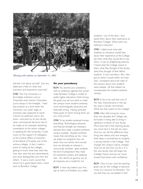

*Meeting with students on September 11, 2001*

learned a lot about yourself. Can you elaborate a little on what that transition and experience were like?

CMK: The City University is a formidable institution, and as Chancellor, even Interim Chancellor, you're always in the limelight. I held that position at a time when the University was under siege, as someone said, subjected to harsh criticism by politicians and in the press—and even by its own faculty when controversial decisions had to be made, as for example, abolishing remediation at the senior colleges. In speaking for the University, I could count on the support of colleagues at the Central Office, of members of the Board of Trustees, and of the various colleges. In fact, I made a point of visiting all the colleges, getting to know what they were like, how they were led and administered, and what distinguished one from the others. It was a crash course that stood me in good stead when I came back to Brooklyn College.

#### **On your presidency**

**BCM:** You started your presidency with an ambitious agenda that would make Brooklyn College a model of public higher education. Chief among the goals you set out were to make the campus more student-centered, more technologically advanced, and financially strong. Having achieved these goals, of which among them are you most proud?

CMK: To be student-centered trumps everything. Technological advances and financial strength are necessary because they make a student-centered campus possible. Student-centered means that everything we do—how we shape our programs, how we teach, how we mentor and counsel, how we stimulate an interest in cocurricular activities—gives students the kind of preparation they need for productive careers and satisfying lives. Our alumni, as good as any by all measures, are a model for me.

**BCM:** Is that why, before your first day at work as President, you called students—out of the blue—and asked them about their experience at Brooklyn College? What were you seeking to discover?

CMK: I called some sixty-odd students, to introduce myself, hear about their experience at the College, ask them what they would like to see done. It was an enlightening exercise. I heard what the College meant to them, what they thought of the faculty, what they thought of their fellow students. It was marvelous. But I also got an earful I would rather not have had—complaints about the state of the campus, about how students were treated. All that helped me conceptualize the student-centered campus.

**BCM:** It has to be said that one of the clear improvements in the last ten years is faculty recruitment. What has that meant to the College?

CMK: After little hiring for more than two decades, the College was fortunate in being able to bring in significant numbers of new faculty. More than half of the teaching faculty has come here in the last ten years. And you can tell the difference: they bring new talents and new energies, fresh ideas, a commitment to students, a strong interest in the College. That changes the campus culture, changes what we do and how we do it. It is the new faculty that will shape the College's future, and we can move toward that future with confidence.

**BCM:** One of your most far-reaching goals was for the College to become more of a resource for Brooklyn. Do you feel that you succeeded in this?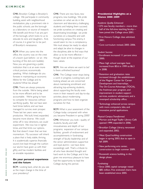### **K I M M I C H**

CMK: Brooklyn College is Brooklyn's college. We participate in community building, assist with neighborhood revitalization, play a prominent role in the public schools, use the borough as a laboratory or source of research. We benefit and thrive if we are part of the borough, which looks to us to educate its sons and daughters. And, of course, it is great fun to be part of Brooklyn's renaissance.

BCM: When you came into the office, the country was on the crest of a boom (just before—or at—the bursting of the dot-com bubble). Now you are governing a public institution that is at an even more critical juncture, economically speaking. What challenges do you foresee in maintaining an economic lifeline for the College and its students? What lies ahead?

CMK: There are always pressures from the outside. We're being asked to be more efficient and to be accountable. We're going to have to compete for resources without sacrificing quality. But we have seen hard times before, and we have managed to survive, even prosper. These last ten years were very productive. We built, hired, expanded, became more diverse. We could strike off in new directions, we could experiment. We now live in tighter times, and that limits our options. But that doesn't mean that we lose momentum. My successor will inherit a place that is lively, stable, thriving. It is academically superior, financially sound (not least through the cushion our alumni have given us with their gifts), and has modern facilities and an enviable reputation.

#### **On your personal experience and the future**

BCM: Looking back, what do you see as the major change in the time of your presidency?

CMK: There are new faces, new programs, new buildings. We pride ourselves on what we do in the classroom and laboratory, challenging students and helping them succeed; we pride ourselves on creating and disseminating knowledge; we pride ourselves on a beautiful and wellfunctioning campus.The enemy, it would seem to me, is complacency. We must always be ready to adjust and adapt, be alive to changes in the disciplines, able to find ways that allow us to be more effective though never at the expense of our basic values.

BCM: Are we where we want to be? Is there unfinished business?

CMK: The College never stops being a work in progress. Looking back, and looking ahead, we are concerned about maintaining enrollment and attracting top-achieving students, about supporting the faculty even more in their research and day-to-day activities, about modernizing programs and how to best organize ourselves for that.

**BCM:** What is your assessment of the College today compared with when you became President in spring 2000?

CMK: Wherever you look-quality of students, faculty, and staff; innovativeness and depth of our programs; expansion of our campus facilities; growth of endowment and accomplishments in fundraising; strength of faculty leadership and of the senior administration; supportive and loyal alumni—we have done exceedingly well. That's a tribute to all who have devoted thought and hard work to the College, and it has given me enormous pleasure to have had the opportunity to lead the College during this period.

#### **Presidential Highlights at a Glance 2000–2009**

#### *Academic Quality Enhanced:*

- 273 new faculty members—more than half of the full-time teaching faculty have joined the College since 2001;
- First Honors College class admitted, 2001;
- Core curriculum revised, 2005–2006.

#### *Student Success:*

- Enrollment increased 11 percent since 2000;
- Mean high school averages have increased from 80.6 in 1999 to 86.3 in 2008;
- Retention and graduation rates increased through the establishment of the Magner Center for Career Development and Internships, The On-Course Advantage (TOCA), the freshman-year program, and improvement in student support services, academic advisement, and a revamped scholarship office;
- Technology enhanced across campus with more computers, labs, and innovative portal applications.

#### *Physical Campus Transformed:*

- Morton and Angel Topfer Library Café opened 1999; expanded in 2006;
- Brooklyn College Library, renovated and expanded, 2002;
- West Quad building construction began in spring 2003; due to open in fall 2009;
- New performing arts center, construction to begin summer 2009;
- Roosevelt science building, in the design phase.

#### *Fundraising:*

• Since 2000, capital campaign raised \$85 million. Five endowed chairs have been established since 2005.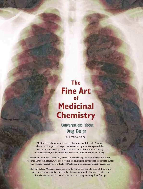# **The Fine Art** of **Medicinal Chemistry**

Conversations about Drug Design

by Ernesto Mora

Medicinal breakthroughs are no ordinary feat, and they don't come cheap. It takes years of experimentation and grant-seeking––and the work is not necessarily done in the luxurious laboratories of the big pharmaceuticals, but in laboratory institutions such as Brooklyn College.

Scientists know this––especially those like chemistry professors Maria Contel and Roberto Sanchez-Delgado, who are devoted to developing compounds to combat cancer and malaria, respectively, and Richard Magliozzo, who studies antibiotic resistance.

*Brooklyn College Magazine* asked them to delve into the complexities of their work to illustrate how scientists strike a fine balance among the human, technical, and financial resources available to them without compromising their findings.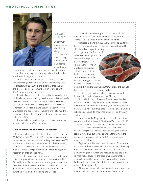

### TB OR NOT TB

A common misconception about drug design is that scientists need to fully understand a pathogenic agent before

finding a way to inhibit it from thriving. Take the case of tuberculosis, a scourge erroneously believed to have been eradicated during the last century.

"It was never eradicated," Magliozzo says, noting that Isoniazid (INH), the most potent antibiotic against *Mycobacterium tuberculosis,* the organism that causes the disease, did not become the drug of choice until 1952––only fifty-seven years ago.

In fact, Magliozzo says, the oral antibiotic was discovered while scientists were studying nicotinamide, or B3, a naturally occurring vitamin that had shown promise in combating the disease. The Levy-Kosminsky Professor in Physical Chemistry, Magliozzo explains that even after the drug was tested and approved for industrial marketing and the treatment of patients, nobody could explain the mechanism behind its efficacy.

It took science nearly fifty years to determine what allowed INH to cure TB in a patient.

#### **The Paradox of Scientific Discovery**

A Hunter College graduate who obtained his Ph.D. at the CUNY Graduate Center in 1981, Magliozzo has spent the better part of the past decade studying both common TB and some of the strains resistant to INH. Before coming to Brooklyn College in January 2000, he worked at the Albert Einstein College of Medicine, where he began his research on antibiotic resistance.

Currently, his research laboratory is in the last year of a five-year project to study drug-resistant strains of TB, funded by the National Institute of Allergy and Infectious Diseases of the National Institutes of Health and worth \$1.7 million. That is in addition to a nearly \$1 million award he received before joining the College.

"I have also received support from the National Science Foundation for an instrument we needed, and several CUNY awards over the years," he notes.

Magliozzo explains that the enzyme in theTB bacterium that is programmed to defuse the toxic molecules used by white blood cells against invading

microorganisms (the first line of defense of the body's immune system) also helps activate the drug that will kill it. As the enzyme––known as catalase-peroxidase, or KatG––encounters the INH molecule in a patient treated with the antibiotic, it triggers a chemical reaction that produces a new

molecule that inhibits the bacteria from building the cell wall that protects them from outside attacks.

"So the actual bactericidal event is made possible thanks to the bacteria's own enzyme," he says.

Normally, that would have sufficed to save the day and eradicate TB. Sadly for humankind, the first strain of INH-resistant TB debuted the same year the drug hit the market. And while it is true that TB grows very slowly, one cell alone is enough to grow into a colony—and therein lies the rub.

For scientists like Magliozzo, this means they must try to understand what they call "the loss of function of INH" in the less common drug-resistant strains of the disease.

"Ours is a very tiny corner of the universe of research," Magliozzo explains,"because our goal is not to design a new drug but to try to understand why, in the majority of cases resistant to INH, KatG is no longer activating that drug."

Magliozzo and his team have discovered, for example, that some of the mutations of the enzyme block the drug from reaching the bacterium's catalytic center, an iron atom (heme group) where the reaction to activate INH normally takes place. In the case of another mutation on which he and his team recently completed a study, INH can still bind normally, but the necessary reaction to activate the drug is faulty.

"There are patients all over the world who have taken INH but are not cured because the enzyme mutants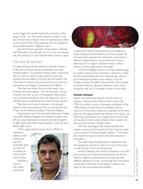cannot trigger the needed reaction for activation of the drug," he says. "Or the deadly molecule is made in such low numbers that it doesn't have the expected toxic effect on the bacteria.This is the population that can spread the drug-resistant disease," Magliozzo warns.

One-third of the population of the planet is infected with TB bacteria. So, although only one in ten will develop the active disease, it is clear that the threat it poses is great.

#### THE AGE OF METALS

It is generally assumed that metals are bad for humans. In fact, some of those that are moderately toxic have beneficial effects. For example, metallic-based compounds that are used to combat certain types of cancer, like cisplatin, have the ability to kill both sick and healthy cells. Then there are those, such as lead and mercury, that can have severe neurological consequences on children.

"But there are others that our body needs," says Professor Sanchez-Delgado. "Iron, for example, is found in human red cells" as part of hemoglobin, while others, such as nickel, molybdenum, zinc, and magnesium,"occur naturally and are essential for the human immune system."

Then there are those in between––not naturally present in the human body but that are not harmful and, in fact, may be helpful, according to Sanchez-Delgado.

A Venezuelan native who has been at Brooklyn College since 2004, Sanchez-Delgado has a research program that aims at using metal-based compounds as potential agents to fight malaria and other tropical diseases. They may even help to fight cancer.

"While organic-based compounds are difficult to

manipulate, adding a metal molecule as part of a medication gives you the kind of scaffold you need to build upon," he says. Attaching a metal to the organic compound,





moreover, will help the drug become more stable and longer lasting and will facilitate its arrival at its target. By the same token, because the metal alone could react to different things along the way and have toxic results, attaching it to an organic compound helps to delay a reaction until the drug reaches the target.

In Sanchez-Delgado's quest to improve existing drugs to combat malaria, he has resorted to ruthenium, a metal he first experimented with over a decade ago, when he and a Venezuelan physician were seeking a cure for Chagas, an illness that affects about twenty million people across the Americas. Because ruthenium shares some properties with iron, it is equally nontoxic for the body.

#### **Stealth Attacks**

Malaria was ineffectively treated until the advent of quinine, a natural extract of the cinchona tree, in the 1700s. Its synthetic version, chloroquine, developed in the 1940s, helped combat malaria for decades until the discovery of *Plasmodium falciparum,* a parasite of the same genus as the original disease but resistant to the drug. Like most drugs, chloroquine has nitrogen atoms that are part of its active functions, while ruthenium has a metallic ion that can bond to those nitrogen atoms.

"We take advantage of the affinity between the organic compound (chloroquine) and the metal to create a new molecule," Sanchez-Delgado explains. "The metal thus cloaks the drug and doesn't allow the parasite to recognize it."

The metal helps the drug reach its destination, and the parasite has no time to react or to bind to the drug in order to stop it from becoming active.

Sanchez-Delgado, who recently submitted a new NIH grant proposal to continue his experiments, has thus far tested six different ruthenium-laced compounds with different degrees of success. And though they have shown a good deal of promise, he still needs to address such issues as the new compound's solubility.

 $\bullet$  $\bullet$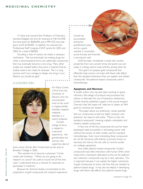A Claire and Leonard Tow Professor of Chemistry, Sanchez-Delgado has thus far received an NIH-SCORE four-year grant for \$680,000, and a PRF-ACS two-year grant worth \$100,000. In addition, he received two Professional Staff Congress-CUNY grants for 2005 and 2006 for a total of \$8,000.

Sounding a note of caution, he makes a necessary clarification: "We are technically not making drugs but what, in pharmaceutical terms, are called lead compounds that may eventually become a new drug. Many other studies are needed before that point is reached.Toxicity studies need to be made, for example. This is a long process, and if you manage to design one drug in your lifetime, you should be glad."

### A GOLDEN ERA



For Maria Contel, a Ph.D. from the University of Navarra who has concentrated most of her work in organometallic chemistry research, medicinal chemistry is a recent endeavor. Contel's change of focus is related to a personal experience. Her grandmother, the woman who raised her, died of

brain cancer shortly after Contel took up her post at Brooklyn College in 2006.

"She wanted me to become a physician," Contel recalls with fondness. "'When are you going to do research on cancer?' she used to hound me all the time. Later I understood that, as a chemist, it's important to participate in medicine."

Because her doctoral studies concentrated on the preparation of gold compounds, the research experience

Contel has accumulated during her postdoctoral years and as a guest scientist in universities across Europe and Australia is serving her well.

Gold has been considered a metal with curative properties from very ancient times, she points out, and today it is being used to treat arthritis, among other ills.

"Our goal is to prepare gold compounds that efficiently treat cancers, we hope with fewer side effects than the standard treatments that use cisplatin and related compounds," the platinum-based compounds used in chemotherapy.

#### **Apoptosis and Necrosis**

A prolific author who has also been working on green chemistry (the design of products and processes that reduce or eliminate the use of hazardous substances), Contel recently published a paper in the journal *Inorganic Chemistry* that she hopes will help her to obtain an NIH grant to continue her research.

"The paper about our preliminary results specifies that our compounds turned out highly cytotoxic with leukemia," she reports with pride. "More so than the standard compounds," meaning cisplatin, carboplatin, and similarly related compounds.

In fact, one of the five compounds she and her team developed rated successfully in eliminating cancer cells without the toxicity of other metals used for standard chemotherapy. Even more interesting, these compounds do not kill cancerous cells directly (a process known as necrosis) but instruct the sick cells to commit suicide (or undergo apoptosis).

And unlike platinum-based compounds, Contel's compounds have little interaction with human DNA, which means that a mechanism alternative to the one for platinum and ruthenium compounds may be, in fact, operative. This is important because it can explain the higher cytotoxicity of gold compounds to tumor cell lines that are resistant to platinum-based drugs. It may also be helpful in developing drugs with fewer side effects than platinum-based drugs.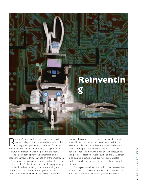

oom 525 Ingersoll Hall Extension is round with a domed ceiling, a dim interior, and fluorescent tube lighting on its perimeter. It has a bit of a beamme-up feel to it, and Professor Yedidyah Langsam adds to the futuristic metaphor when he pulls out the robot.

His voice booming from the center aisle of the classroom, Langsam, a thirty-year veteran of the Department of Computer and Information Science, explains that in this section of CIS 1.5, the students will use the programming skills they have been learning to manipulate a high-tech LEGO RCX robot. He holds up a yellow rectangular "brick" outfitted with an LCD and several buttons and

sensors. This object is the brains of the robot—the piece that will interpret instructions downloaded to it from a computer. He then shows how the wheels and motors attach to the ports on the brick. There's even a sensor for the robot to know when it has been touched, and it can promptly display the word "ouch" on the LCD screen if so desired, a feature which Langsam demonstrates with a high-pitched squeal, to a chorus of laughs from the students.

"It can go forward, backward, spin in this direction, then that, and then do a little dance," he explains. "People have built LEGO robots to water their gardens and solve a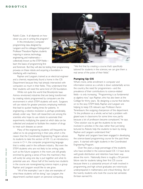### **R O B O T I C S**

Rubik's Cube. It all depends on how clever you are in writing the program."

In this introductory computer programming class, designed by Langsam and his colleague Distinguished Professor Theodore Raphan, students majoring in science, technology, engineering, and mathematics collectively known as the STEM fields learn the basics of programming first

and foremost. But they will also be testing their programming prowess on these robots and acquiring a foundation in interfacing with machinery.

Raphan and Langsam, trained as an electrical engineer and a chemist, respectively, found a home in the CIS Department because they had already intersected with computers so much in their fields. They understand that their students will need the same kind of CIS foundation.

While not quite the world that Brooklynite Isaac Asimov envisioned, industries that are being transformed by creating robots programmed by computers are the environment in which STEM students will work. Surgeons will use robots for greater precision, employing methods that lead to quicker healing times for patients. In engineering, a robotics revolution is, perhaps predictably, already under way. Stem cell researchers are among the scientists who hope to use robots to automate their experiments, multiplying the speed at which data can be collected and analyzed to facilitate the creation of drugs to treat such diseases as cancer.

Many of the engineering students will frequently be called on to do programming in their jobs, which is the reason that the Coordinated Engineering Program advises its students to take this section of CIS 1.5, an introductory course in C++, the computer programming language that is widely used in the software industry. But even the STEM students who are not likely to be writing code, such as the future surgeons in the room, are still greatly enriched by gaining a sense of how the machinery they will surely be using one day is put together and what its potential uses are. About half of the twenty-two students in the course are nonengineering science majors, a group Raphan and Langsam would like to see grow.

"All of the examples I use in class are examples of what these students will be doing," says Langsam, the department's earliest expert on personal computing.

"We find that by creating a course that's specifically tailored for students in the sciences, we can give them a real sense of the pulse of their fields."

#### **Pumping Up CIS**

What's more, while enrollment in computer and information science as a whole is down substantially across the country, the need for programmers—and the prevalence of their contributions to science-related fields—is only increasing. "Programming is as fundamental as algebra now," says Raphan, who has also been at the College for thirty years. By designing a course that latches on to the sexy STEM fields, Raphan and Langsam are helping to keep CIS relevant, says Professor Aaron Tenenbaum, the outgoing chairperson of the department. "In the profession as a whole, we've had a problem with glazed eyes in classrooms for some time now, partly because a lot of professors became complacent," he says. "One solution was to get the students to be more involved in activities in the class rather than just being lectured to. Robots help the students to learn by doing. Raphan and Langsam understand that."

Raphan and Langsam have been engaged in developing the science-based programming course for the past three years. It started with eight students in the Coordinated Engineering Program.

Over the years, a large percentage of the students who have enrolled in the science-based CIS 1.5 have done well; grade distribution and retention have been way above the norm. Nationally, there is roughly a 50 percent failure rate for students taking their first CIS course because there is a substantial amount of math involved in programming, and high school graduates are notoriously underprepared in mathematics and critical thinking. But of the twenty students who took the course last semester, thirteen earned A's.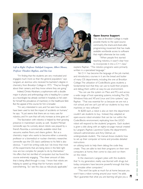

### *Left to Right: Professor Yedidyah Langsam, Albert Munez, Professor Theodore Raphan, and Yon Luo*

"I'm finding that the students are very motivated and engaged, much more so than the general population," says Langsam, an alumnus who received his bachelor's degree in chemistry from Brooklyn College in 1973. "They've thought about their careers, and they know where they are going."

Indeed, Christo Abraham, a sophomore with a double major in physics and anthropology who is heading for a career as a neurologist, has already worked in hospitals, so he's seen for himself the prevalence of machinery in the healthcare field. But the appeal of this course for him is broader.

"I'm very interested in cars, and I've seen how robots have been used to test the impact of accidents on humans," he says. "It just seems that there are so many uses for robotics, and I'm sure that will only increase as time goes on."

The fascination with robotics is helped by their growing presence in mainstream society as well. Student Michael Lenneville says his curiosity about robots was piqued by a friend's Roomba, a commercially available robot that vacuums, washes floors, and cleans gutters. But as a chemistry major who wants to become either a university professor or a biomedical or nuclear chemistry researcher, Lenneville says the CIS class's usefulness to his field is also obvious. "I won't be writing code, but I do know that most of the experiments that are being done in the field right now are too complex for people to do by themselves." He offers that he's terrified of computers but has found the course extremely engaging. "The sheer amount of data that is being sifted through is crazy. I know that robots are helping to speed up things that for humans would be overwhelming. So I see this class as ridiculously applicable."

#### **Open Source Support**

The class at Brooklyn College is made possible thanks to the open-source community, the share-and-share-alike programming movement that has made available worldwide access to software that might otherwise be too costly.

"When people first started teaching robotics, it wasn't clear how to incorporate it into a C++ class,"

explains Raphan. "The robotics programs were primarily written in a specialized language."

Yet C++ has become the language of the job market, and introductory courses in it are the bread and butter of many CIS departments, including the one at Brooklyn College.The utilization of Code::Blocks gives students a fundamental tool that they can use to build their projects and debug them within an easy-to-use environment.

"You can use the system on Macs and PCs and across a wide range of host operating systems, including Mac OS, Windows Vista and XP, and Linux and Unix systems," says Raphan. "That was essential for us because we are not a rich school, and we can't just tell our students to buy new machines or new software."

At \$200 each, a robot is also an item the department couldn't ask students to buy. Instead, they adapted an open-source robot emulator that can be run within the Code::Blocks environment, replicating how the LEGO robot will respond to the students' programs. Each student is given a disk along with an eighty-six-page manual created by Langsam, Raphan, Lawrence Goetz, the department's network administrator, and Amy Delman, an undergraduate student. The manual shows students how to set up their computer at home and provides detailed instructions

on utilizing tools to help them debug the code they create. They are able to test their programs on their own computers at home, then come to class and run them on the robot.

In the classroom, Langsam jokes with the students that "in my generation, reality was blurred with drugs, but today, computers have become powerful enough that they can simulate other computers."

"This won't be quite as much fun at home because you won't have a robot running around your room," he adds. "But I guarantee that what you are learning will give you a  $\blacksquare$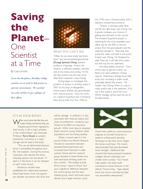# **Saving the Planet**– One Scientist at a Time

### By Lisa Lincoln

*Across the disciplines, Brooklyn College scientists are at work to help protect us and our environment. We searched out a few of them to get a glimpse of their efforts.*



### WHAT YOU CAN'T SEE

"Often it's not what smells bad that's toxic," says environmental geochemist Zhongqi (Joshua) Cheng, assistant professor of geology. Arsenic, for instance, is odorless, tasteless, colorless, and, at low doses, slow acting. "In the old days, arsenic was the way wives killed their husbands," notes Cheng.

Cheng began to investigate the problem of arsenic in drinking water in 2001 by focusing on Bangladesh, where arsenic leaches into groundwater from natural sources. Now he works on a federal Superfund site in Vineland, New Jersey, that, from the 1950s to

the 1970s, was a chemical plant with a deficient containment protocol.

"Arsenic in drinking water does not kill you right away," says Cheng,"but it greatly increases your chance of getting liver, stomach, or skin cancer." The Vineland Superfund project is searching for the most expedient and safest way for the EPA to remove arsenic from the groundwater and the sediment beneath it. "Normally they pump the water out, treat it, and pump it back," says Cheng. For Vineland, he adds, "they say it will take thirty years, but that may be too optimistic."

Are there better solutions? "One of the ways to get the arsenic out faster is to inject additives," Cheng reports. Preliminary findings show that scrap iron corroding in water could potentially absorb the arsenic. "Or maybe," says Cheng,"there is a way to make arsenic stay in the sediment. If it's not in the water, it won't hurt you." Which strategy will be used has yet to be determined.

### IT'S IN YOUR BONES

hen your bones feel like they are made of lead, sometimes they are. "Despite government regulations, lead toxicity is still a major problem in the United States," says Associate Professor Terry Dowd, an analytic biochemist,"and bone is a major storage site for lead in the body."

"This can be detrimental because bone is remodeled throughout your life," she explains. During this process, resorption cells dissolve the bone, releasing calcium into the blood. "If lead is in the bone, it can be released as well," notes Dowd.

Numerous studies have established the relationship between blood lead levels of ten micrograms per deciliter and above with brain and kidney damage. In children, it is also associated with reduced stature and chest circumference—evidence, says Dowd, of its effect on long bone growth. While most data on elevated levels concerns young children, other populations are now being studied.

When a recent report in the *Journal of Bone and Mineral Research* showed an association between elevated blood lead levels and increased bone fractures in older women, Dowd and her research group decided to treat female mice with lead-laced drinking water for four months. "We looked at their femur bones," reports Dowd,"and saw a significant difference between the control group and the leadtreated group, which had lower bone density and a larger marrow cavity."



Dowd then called on a biomechanical engineer at Cornell University to perform a three-point bending technique to see how much weight the bones could bear. The results demonstrated that lead decreased bone strength. Additional data showed that lead produced immature collagen (bone's substrate) and smaller bone crystals. "Our results help explain why lead could contribute to bone fractures in the elderly," Dowd notes. "Age-related bone loss occurs naturally, but lead may exacerbate osteoporosis."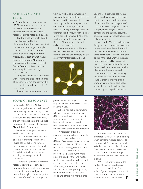### WHEN ODD IS EVEN BETTER

**/hether a process clears our** water of arsenic or creates the SPF 30 moisturizer in our medicine cabinet, like all chemical reactions, it is facilitated by a catalyst.

But the traditional metal-based catalysts employed by the pharmaceutical industry are ones that you don't want to ingest or apply to your skin. The time-consuming process of extracting them from medications is part of what makes drugs so expensive. Now some scientists, including organic chemist Stacey Brenner, assistant professor, are looking for friendlier ways to start a reaction.

"Organic chemistry is concerned with forming and breaking the bonds of carbon, hydrogen, and oxygen that are present in everything in nature," notes Brenner.

Pharmaceutical companies often

### SOLVING THE SOLVENTS

In the early 1990s, the Air Force Academy synthesized a novel class of salts unlike any of their culinary cousins.

"If you put table salt by itself in an aluminum pan and turn up the heat, the pan will melt before the salt does," says Associate Professor of Chemistry Mark Kobrak. "These new salts, molten at room temperature, were exciting and confusing."

Their potentials were, too. For one, the room-temperature ionic liquids (RTILs) act as moderately polar (meaning unevenly electrically charged), organic solvents, suitable for such industrial applications as stripping machine parts of oil and grease.

"At least 95 percent of chemical reactions require a solvent," says Kobrak, a theoretical physical chemist. "A solvent is a tool, and you need one with the right polarity to get the job done. One of the challenges in

want to synthesize a compound in greater volume and potency than can be harvested from nature. To produce an analog, the industry regularly uses metal-based catalysts, which are effective—they go through a reaction unchanged and produce high volumes of the desired compound. "But they can be air or water sensitive," says Brenner. "If you expose them, it makes them inactive."

Then there are the problems of removing every bit of trace metal from the product and disposing of it in an environmentally responsible way.



green chemistry is to get rid of the large volume of potentially hazardous solvents in use."

While a handful of low-melting salts were known earlier, they were difficult to work with. The current generation of RTILs are easy to handle and can be produced relatively cheaply. Even better, they are nonflammable and don't evaporate.

"My research group has identified the properties responsible for RTILs being fundamentally different from conventional molecular solvents," says Kobrak. "It's not the distribution of charge but the size of the ion. The smaller the ion, the more charge packed in, the more polar the liquid. If the ions get too small or too large, they will not melt at room temperature." Kobrak acknowledges that, at the moment, RTILs have a limited polarity range, but he believes that his research group and others will improve that.

Looking for a less toxic, easy-to-use alternative, Brenner's research group has struck upon a novel formulation of a sulfonamide, one of a group of compounds containing sulphur, oxygen, nitrogen, and hydrogen. The raw components are naturally occurring, abundant in supply, relatively cheap, and unfazed by water.

And odd. Whether a chemist is fusing carbon or hydrogen atoms, the catalyst used to facilitate the reaction must create asymmetrical bonds in three dimensions. "Nature's the best at doing this," says Brenner in regard to producing chirality––copies of things that are not entirely the same. "Your two hands aren't exactly alike. Neither are the enzyme- and protein-binding pockets that drug molecules must fit to be effective." Happily, organic catalysts offer a world of asymmetrical possibilities waiting to be fine tuned, and that is why, in green organic chemistry,



It is no wonder that Kobrak is interested in RTILs. "It's an odd thing when something exotic behaves so conventionally," he says of the molten salts that mimic molecular solutions. "We have a chance to reexamine some of the fundamental ways liquids work and the way chemistry is done."

Will RTILs answer one of the riddles of creating a sustainable planet? "In broad strokes," says Kobrak,"you can reproduce a lot of chemistry in this unconventional environment, with fewer hazards."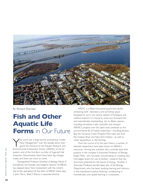

By Richard Sheridan

# **Fish and Other Aquatic Life Forms** in Our Future

You won't see a large banner proclaiming "Under<br>New Management" over the double doors that<br>guard the entrance to the Aquatic Research and<br>Environmental Assessment Center (ABEAC) at the far New Management" over the double doors that guard the entrance to the Aquatic Research and Environmental Assessment Center (AREAC) at the far eastern end of the first-floor corridor of Ingersoll Hall Extension. Nevertheless, there have been big changes inside, and there are more to come.

Distinguished Professor Emeritus of Biology Martin P. Schreibman, the founder and longtime director of AREAC, has stepped down from involvement with the center's day-to-day operations. At the helm of AREAC these days is John Marra. Brett F. Branco is associate director.

AREAC is a fifteen-thousand-square-foot facility containing both laboratory and workshop space. Equipped to carry out various aspects of biological and medical research, it is home to some two thousand fish and invertebrates representing ten to fifteen species, including horseshoe crabs, clownfish, and octopus. AREAC's projects over the years have centered on the environmental ills of nearby waterways—including Jamaica Bay, the Gowanus Canal, Prospect Park Lake, and even the Hudson River and New York Harbor––as well as urban aquaculture, or fish farming.

Over the course of its ten-year history a number of talented researchers have been drawn to AREAC's resources. Among the scientists who currently base their projects in the complex is Associate Professor of Biology Jürgen Polle, who has been concentrating on isolating new microalgae strains for use as biofuel—research that has enormous potential for the future of energy. Another is Associate Professor Jennifer Basil, also of the Biology Department, who has been studying learning and memory in the chambered nautilus, Pavlovian conditioning in invertebrates, and spatial learning in crustaceans.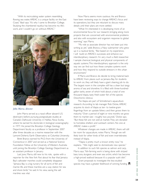"With its recirculating water system resembling flowing sea water, AREAC is a unique facility on the East Coast," Basil says."It's why I came to Brooklyn College. Studying the chambered nautilus has become my life's work, and I couldn't go on without AREAC."



#### *John Marra, director*

John Marra served as a naval officer aboard U.S. destroyers before pursuing postgraduate studies at Canada's Dalhousie University in Halifax, Nova Scotia, where he earned his doctorate in biological oceanography in 1977. He joined the Brooklyn College Geology Department faculty as a professor in September 2007 after three decades as a marine researcher with the Lamont-Doherty Earth Observatory at Columbia University.

Brett Branco earned his Ph.D. from the University of Connecticut in 2007 and served as a National Science Foundation Fellow at the University of Western Australia until joining the Brooklyn College Geology Department as an assistant professor in January.

Last June, Marra, still new to his role, spoke with a reporter for the *New York Post* about his fear that Jamaica Bay's saltwater marshes could completely disappear. "Jamaica Bay is a big nursery for all sorts of fish and marine life, and these marshes are a way station for sea and shore birds," he said. In his view, saving the salt marshes was vital.

Now Marra seems more cautious. He and Branco have been reviewing ways to change AREAC's focus and its operations, but they are reluctant to discuss many details until their plans are more settled.

"What I'm interested in is developing more of an environmental focus for our research, bringing along more projects that are concerned with environmental problems and also with ecosystem and organism response to global warming," says Marra.

"My role as associate director has not been put into writing as yet," adds Branco, a Navy submariner who grew up in a nautical family. "But based on my experience, I will build on AREAC's successes and enhance our interdisciplinary research. I'm very much a field researcher. I sample chemical, biological, and physical components of aquatic systems.This interdisciplinary approach is the only way we can find out how these complex systems work and how they respond to outside stressors in the urban environment."

If Marra and Branco do decide to bring material back to AREAC from places such as Jamaica Bay for students to work on, they will likely have a giant cleaning job to do. The largest room in the complex still has a clean but tangy aroma of sea and shoreline. It is filled with three-hundredgallon tanks, seven of which hold about a total of one thousand tilapia, tasty fresh-water fish of the species *Oreochromis niloticus.*

The tilapia are part of Schreibman's aquaculture research. According to lab manager Rob Dickie, AREAC acquires its stock of tilapia as ten- to twelve-gram fingerlings from an upstate fishery and then grows them to maturity."Over a period of eight or nine months we grow them to market size—roughly two pounds," Dickie says. "But these fish are not sold at market.They are donated to homeless shelters and outreach centers. No one at AREAC makes a profit."

Whatever changes are made in AREAC, there will still be room for aquaculture, notes Marra, "though we will likely look for other kinds of fish and even invertebrates instead of tilapia.

"Tilapia is pretty much a known entity now," he explains. "We might seek to domesticate new species."

In addition to such fish species as salmon and carp, Marra says,"fish-farming work is being done with striped bass, tuna, sturgeon, and even sea urchin, which has become a high-priced seafood because it's a popular sushi dish."

Grant proposals to investigate the less-studied species may have a greater likelihood of winning funding.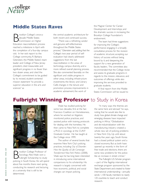

## **Middle States Raves**

**B** rooklyn College's once-a-<br>decade Middle States<br>Education reaccreditation process rooklyn College's once-adecade Middle States Commission on Higher reached a milestone in April with the completion of a four-day campus visit. In her exit report to the College community, R. Barbara Gitenstein, the Middle States's team leader and College of New Jersey president, cited measurable and significant progress in no fewer than two dozen areas, and cited the College's commitment to be guided by its revised, student-centered mission statement "to provide a superior education in the arts and sciences" as

the central academic architecture for both recent and continued success.

"There was a refreshing candor and genuine self-reflectiveness throughout the Middle States process," Gitenstein said, adding that the College's two-year period of selfevaluation had clearly addressed suggestions from the last reaccreditation in the areas of technology, campus diversity, and a more refined overall planning process. She also commented favorably on the significant and visible progress in other areas, including infrastructure investments; the library and Library Café; changes in the tenure and promotion process; improvements in academic advisement; the work of

the Magner Center for Career Development and Internships; and the dramatic success in increasing the Brooklyn College Foundation's endowment.

The team had three suggestions for improving the College's performance: engaging in a broadly consultative process for the revision of academic structure; accepting our history of success without being bound by it; and deepening the support for a new generation of faculty leaders. The committee also recommended that the College revise and assess its graduate programs in regards to the mission, relevance, and outcomes of offerings while also improving the services provided to graduate students.

A final report from the Middle States Commission will be issued to

## **Fulbright Winning Professor** to Study in Korea



**B** rooklyn College Professor of<br>
Sociology Alex Vitale won a<br>
policing in South Korea. He will spend rooklyn College Professor of Sociology Alex Vitale won a Fulbright Scholarship to study about five months there next spring conducting his research and lecturing at a university that is still to be determined.

Vitale has studied policing for some two decades, first at the San Francisco Coalition on Homelessness, where he worked on litigation, monitored police practices, and assisted police with training protocols for dealing with the homeless. He then came to New York to complete a Ph.D. in sociology at the CUNY Graduate Center. He has taught at the College since 1999.

The author of several books that examine New York City's policing practices, including *City of Disorder: How the Quality of Life Campaign Transformed New York Politics* (2008)*,* Vitale says he has long been interested in introducing some international comparisons to his scholarship. His research is largely concerned with how economic, political, and social changes can impact policing.

"In many ways the themes are the same here and abroad," he says, noting that he would also like to study how global climate change and emerging diseases have impacted policing in Africa."Globalization and de-industrialization with the manufacturing industry created a whole new set of policing problems in New York City. Up until about twenty-five years ago, South Korea had a closed political system and a closed economy. But as both have opened up recently in the form of free trade and elections, there are some new problems for the police like an increase in street crimes."

The Fulbright U.S. Scholar program —part of the flagship international exchange program sponsored by the State Department and created to foster international understanding—annually sends 1,100 faculty members to nearly 125 countries to teach and conduct research.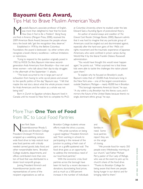# **Bayoumi Gets Award,** Tips Hat to Brave Muslim American Youth

Moustafa Bayoumi, associate professor of English,<br>Was more than delighted to hear that his book<br>How Does It Feel to Be a Problem? Being Young was more than delighted to hear that his book *How Does It Feel to Be a Problem? Being Young and Arab in America* (Penguin Press, 2008), received the 2009 American Book Award, because the people whose story the book tells "get the recognition they deserve."

Established in 1978 by the Before Columbus Foundation, the award is bestowed—by other writers who recognize a book's literary excellence—without limitations or restrictions.

Trying to respond to the question originally posed in 1902 by W.E.B. Du Bois, Bayoumi interviews secondgeneration Arab Americans from Brooklyn––four men and three women—who talk about their day-to-day struggles in the aftermath of the September 11 attacks.

"The book occurred to me in large part out of exhaustion from having to write op-ed pieces and answer to the specific politics of the day," Bayoumi says. "I felt that maybe the real story about what the whole process meant for Arab Americans and the nation as a whole was not being told."

Born in Zurich to Egyptian scholars, Bayoumi lived in Canada until he moved to New York to complete his Ph.D. at Columbia University, where he studied under the late Edward Said, a founding figure of postcolonial theory.

An author of several essays and coeditor of *The Edward Said Reader* (Vintage Books, 2000), Bayoumi admits that it was hard to imagine that any particular group of Americans could be singled out and discriminated against, especially after the hard-won gains of the 1960s civil rights movement and the traumatic experience of Japanese Americans, who were confined in prison camps during World War II by the liberal Franklin Delano Roosevelt administration.

"You would have thought this would never happen again," he points out. "What surprised me is that these kids were able to tackle the challenges the nation placed upon them."

To explain why he focused on Brooklyn's youth, Bayoumi notes that of 120,000 Arab Americans living in the New York area- one of the largest concentrations outside Dearborn, Michigan— nearly 40,000 live in Brooklyn.

"This borough represents America's future," he says. "A city within a city, Brooklyn has this literary aura, and it mirrors the future of the United States because there's no single, dominant ethnic group," he says.

# More Than **One Ton of Food** from BC to Local Food Pantries

ew York State<br>
Assemblywoman Rhod<br>
President Christoph M. Kimmich Assemblywoman Rhoda S. Jacobs and Brooklyn College wrapped up a weeklong, campuswide food drive to help restock local area food pantries with critically needed canned goods, baby food, and other nonperishable items. Brooklyn College students, departments, and offices contributed more than one ton of food that was distributed to a dozen local nonprofit groups.

Joining President Kimmich and Assemblywoman Jacobs were representatives of some of the recipient organizations as well as

Brooklyn College students whose efforts made the drive a success.

" We pride ourselves on being a good neighbor," President Kimmich said,"from working in schools to participating in the renewal of the Junction to putting a fresh coat of paint on a graffiti-spattered wall. The food drive gives us an opportunity to address the tremendous need of our local food pantries."

With the economic crisis, food pantries across the borough have been hit hard by a recent decrease in donations, skyrocketing food prices, and as much as a 500-percent increase in the number of individuals

and families in need. Some local pantries report they are on the verge of closing.

"We provide food for nearly 350 people every Wednesday morning at our church," said Father Michael Perry, pastor of Our Lady of Refuge, who was at the event to pick up his church's share of the food drive. "Thanks to Brooklyn College for being aware that there are people facing hunger in our district and for bringing relief to them."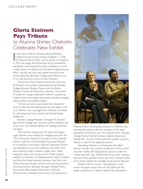# **Gloria Steinem Pays Tribute** to Alumna Shirley Chisholm,

# Celebrates New Exhibit

In the wake of Barack Obama's election, Brooklyn<br>
College honored its own political trailblazer. In 1968<br>
she became the first black woman elected to Congress.<br>
In 1972 she sought the Democratic Bartics precidential n the wake of Barack Obama's election, Brooklyn College honored its own political trailblazer. In 1968 In 1972 she sought the Democratic Party's presidential nomination, becoming the first black candidate to run for a major party's nomination for the nation's highest elective office. Last fall, just a few days before she would have turned eighty-four, Brooklyn College paid tribute to one of its most prominent alumni, Shirley Chisholm.

Feminist icon Gloria Steinem shared her memories of Chisholm at an exhibit cosponsored by the Brooklyn College Women's Studies Program and the Shirley Chisholm Center for Research on Women. The exhibit, *A Catalyst for Change,* celebrated Chisholm's pioneering political career with original documents, including campaign videos, buttons, and position papers.

"To think we had to wait almost four decades for some of what she was talking about to even begin to be true," Steinem, who campaigned for Chisholm, remarked to a standing-room-only crowd in the Woody Tanger Auditorium.

Brooklyn College President Christoph M. Kimmich said that the College was "proud to call Ms. Chisholm one of our own" and thanked Steinem for helping remember her legacy.

"Use well the voting power for which she fought," urged Steinem, who donated her delegate pass from the 1972 Democratic National Convention to the Chisholm Center's collection of memorabilia.The event, followed by a reception in the library's Special Collections Division, was attended by many local politicians and others who have worked to keep Chisholm's legacy alive. Often noting that they owed some portion of their political ambition to Chisholm, U.S. Representative Yvette D. Clarke and New York State Assembly members Nick Perry and Helene Weinstein all gave remarks and read proclamations honoring Chisholm. Brooklyn Borough President Marty Markowitz's office declared November 25 Shirley Chisholm Day in Brooklyn. Shola Lynch, who produced a



Peabody Award–winning documentary on Chisholm, also attended the event, as did two members of the latest generation of women to carry the Chisholm torch: Brooklyn College Shirley Chisholm scholars Daphne Brunet and Soribel Feliz. As part of the award, the students will go to Albany to observe the legislative process.

Describing Chisholm as "smiling and self-willed," Steinem shared many intimate recollections of the woman she often credits with being the first person to take the "white male only" sign off the White House door. Steinem said one of her greatest honors was when Chisholm asked her to write a speech the candidate would read on television.

Steinem told the crowd. "I feel grateful to have known this great woman. She not only didn't pull the ladder up behind her," Steinem added."She extended it."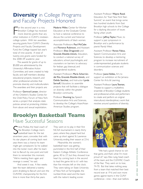# **Diversity** in College Programs and Faculty Projects Honored

For the second year in a row,<br>Brooklyn College has received<br>more diversity grants than any<br>other institution in CUNY's nineteenor the second year in a row, Brooklyn College has received more diversity grants than any college system. With ten awardees securing grants from CUNY's Diversity Projects and Faculty Development Fund, the College topped last year's total of nine awards. A total of twenty-one grants were funded for the 2008–09 academic year.

The awards for grants of up to \$5,000 are administered by the University's Affirmative Action Committee, and were created to help faculty and staff members develop educational projects, research, and other professional activities that promote diversity and multiculturalism. The awardees and their projects are:

Professor Gertrud Lenzer, director of the Children's Studies Center, for the Child Policy Forum of New York series, a project that analyzes state policies aimed at protecting children from abuse and sexual exploitation.

Maderie Miller, Center for Worker Education at the Graduate Center, to host a national conference to discuss the current and historical accomplishments of black women.

Associate Professors Paul McCabe and **Florence Rubinson**, and Assistant Professors Eliza Dragowski and Graciela Elizalde-Utnick, Education, to conduct a national survey of educators, school psychologists, and counselors on barriers to advocacy for lesbian, gay, bisexual, and transgendered students.

Assistant Professors María Scharróndel Río, Graciela Elizalde-Utnick, and Delida Sanchez, and Instructor Lynda Sarnoff, Education, to assemble projects that will facilitate a dialogue on diversity within the greater Brooklyn community.

Professor Shuming Lu, Speech Communication Arts and Sciences, to develop the College's Asian/Asian American Studies program.

# **Brooklyn Basketball Teams** Have Successful Seasons

Serve Podias, the head coach of<br>Stephen College men's<br>Seventeen years, concedes that with teve Podias, the head coach of the Brooklyn College men's basketball team for the last his star players all coming back next year, there was a chance his team might get complacent. So he walked into the locker room after his team lost to Baruch by one point and told them to remember this moment. "We're meeting them again and revenge is sweet," he said.

And sweet it was. A few weeks later the team delivered a twentypoint drubbing to Baruch and won the CUNYAC championship for the first time in more than thirty-five years.

They went on to play in their first NCAA tournament in nearly thirty years, where they played hard but came up short against St. Lawrence University, ending their season at 23-6.

Meanwhile, the women's basketball team was getting pummeled in the first half of their Eastern College Athletic Conference game, 40 to 27, but they showed true heart by coming back in the second to lead the game 66 to 61 with less than five minutes left on the clock. They were taking on State University of New York at Farmingdale, the number-three seed and the team with the nation's leading scorer.

#### Assistant Professor Wayne Reed,

Education, for "East New York Teen Summit," an event that brings some two hundred students from East Brooklyn high schools to the College for a daylong discussion of issues facing urban youth.

Professor Jeffrey Taylor, Music, to support a jazz symposium in Brooklyn and a performance by pianist Randy West.

Assistant Professor Renee Fabus, Speech Communication Arts and Sciences, to develop a mentoring program to increase recruitment of underrepresented graduate students in communication sciences and disorders.

Professor Juana Valdes, Art, to support an exhibition at the Jamaica Center for Arts & Learning.

Assistant Professor Laura Tesman, Theater, to support a multiethnic ensemble of Brooklyn College students and professional artists and performers to create and perform an original intercultural, interdisciplinary work that revolves around questions of diversity.



"We had a good chance to win that game, and that's what I'm most proud of," says Alex Lang, head coach of the team and the CUNYAC Coach of the Year. They went on to lose, 74-70. But that takes nothing away from a team that matched their best record ever at 19-6 and won more games against teams in the CUNY conference—nine—than ever before.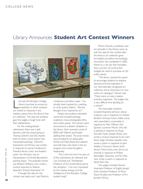## Library Announces **Student Art Contest Winners**



ast year, the Brooklyn C<br>
Library launched an ann<br>
competition in which students<br>
are invited to interpret, in any ast year, the Brooklyn College Library launched an annual art competition in which students medium, pieces from the library's fine art collection. This year, the students gave the judges a tough time with their deliberations.

For the undergraduate submissions there was a split decision, with the award going to Theresa Dietrich and Dan Asselin, both of whom wrote poems that interpreted paintings. Dietrich's *Expressions and Phrases* was written in response to Lennart Anderson's *President Vernon Lattin,* and Asselin's poem, *Two Windows,* was an interpretation of Harold Baumbach's painting *Aspen.* The graduate winner was Roderic Williams, who wrote a musical response to Shahzia Sikander's *Embark-Disembark I-VI.*

"I thought the idea for the contest was really cool," said Dietrich, a freshman journalism major. "I've actually been inspired by a painting to write poetry before. I like the thought of art inspired by art."

Ninety-one students submitted works that included paintings, sculptures, music, photographs, films, and written pieces. The winners were announced at a dessert reception in the library. Each received a prize of \$500, with Dietrich and Asselin splitting their award. The prize money was provided by art aficionados Archie and Maria Rand, the husbandand-wife team who teach in the art program and curate the gallery respectively.

"This is the first time I've seen all of the submissions all collected, and I am knocked out," Presidential Professor of Art Archie Rand said at the reception. "I am very impressed by the creative energy and the intelligence of the Brooklyn College student body."

Miriam Deutch, a professor and art specialist in the library, came up with the idea for the contest after the library's art collection grew formidably just before the building's renovation was completed in 2002, thanks to a city law that mandates that a portion of construction budgets be used to purchase art for public spaces.

"The library started the award to encourage students to explore, discover, and find inspiration in our internationally recognized art collection and to showcase our new online art catalogue," Deutch said. "There were so many creative, inventive responses. The judges had a very difficult time deciding on a winner."

The honorable mentions included Keamisha Johnson, whose sculpture was in response to Chakaia Booker's *Echoing Factors;* Adele Lonas, who assembled a marionette in response to Marc Mellon's *Don Quixote;* Laurence Moulin, who did a painting in response to Doug Schwab's *Sarah;* Joseph Pacilio, who wrote a musical response to Jim Lee's *River's Edge;* Christina Squitieri, who wrote a poem in response to John Walker's *Clammer's Marks, North Branch;* Moira Tuohy, who did an ink drawing in response to Wiliam Kentridge's *Typewriter;* and Yun Wei, who wrote a poem in response to Sarah Sze's *Day.*

The judges included Deutch, Associate Professor of English Joesph Entin, Assistant Professor of Music David Grubbs, and Professor of Art Jennifer McCoy.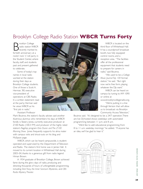# Brooklyn College Radio Station **WBCR Turns Forty**

**B** rooklyn College<br>
radio station WBO<br>
fortieth anniversary at a rooklyn College radio station WBCR recently marked its rockin' rock 'n' roll party in the Student Center, where faculty, staff, and students past and present gathered to celebrate.

Some of today's top names in local radio worked at the station during their days as Brooklyn College students. One of those is Scott A. Herman, '80, executive vice-president of operations at CBS Radio. In a written statement read at the party, Herman said he views WBCR as his "first job in radio."

Assistant Professor

Mark Boutros, the station's faculty adviser, said another illustrious alumnus who remembers his days at WBCR fondly is Skeery Jones, currently executive producer at Z100 Radio (100.3 FM) and producer of the highly rated station's flagship program *Elvis Duran and The Z100 Morning Show.* Jones frequently supports his alma mater with campus visits and shout-outs on his blog and MySpace page.

WBCR, which can be heard campuswide, is studentoperated and supervised by the Department of Television and Radio. The station's first home was in James Hall. It moved to its current location in Whitehead Hall during 2003–04, thanks to a generous gift from radio legend Himan Brown.

A 1934 graduate of Brooklyn College, Brown achieved fame during the glory days of radio, producing and directing thousands of hours of unforgettable programming, including *Dick Tracy, the Inner Sanctum Mysteries,* and *CBS Radio Mystery Theater.*

third floor of Whitehead Hall. It has a soundproof broadcast booth, two fully equipped control rooms, and a reception area. "The facilities offer all the professional equipment that students need to prepare for careers in radio," said Boutros. "We used to be a *College Music Journal Top 100* format station," he said. "But right now we're free form, playing

> whatever the DJs want." WBCR can be heard on campus by tuning to AM 1090 or online at

WBCR is located on the

www.brooklyncollegeradio.org. "We're putting in a line

through Verizon that will allow us to broadcast via Brooklyn Community Access Television,"

Boutros said. "It's designed to be a 24/7 operation.There are live DJ-hosted shows weekdays with automated programming between 11 p.m. and 8 a.m.

"We'd like to add educational programming from 8 to 11 a.m. weekday mornings," he added. "If anyone has an idea, we'll be glad to hear it."

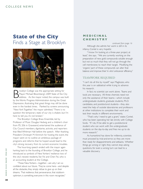# **State of the City** Finds a Stage at Brooklyn<br>Although she admits her work is still in its



By rooklyn College was the appropriate setting for<br>
Mayor Michael Bloomberg's 2009 State of the Circle address. As the mayor noted, the campus was b<br>
by the Works Progress Administration during the Great rooklyn College was the appropriate setting for Mayor Michael Bloomberg's 2009 State of the City address. As the mayor noted, the campus was built Depression, illustrating that great things may still be done even in the hardest times. Flanked by screens announcing "New York Together," the mayor admitted,"There is no question the temporary state of our city is shaken, but I'm here to tell you it's not broken."

The Brooklyn College Brass Ensemble, led by Professor of Music Douglas Hedwig and a children's choir from P.S. 206 in Gravesend, entertained the audience of City Council members, dignitaries, activists, and reporters that filled Whitman Hall before the speech. After thanking President Christoph M. Kimmich for hosting the event, the mayor went on to outline an ambitious package of programs and reforms that he hoped would lead to the city's strong recovery from its current economic troubles.

The hour-long speech ended with the mayor again harking back to the founding of Brooklyn College, and he introduced as symbols of New Yorkers' resilience two of the city's newest residents,Yan Fei and Chen Fei, who is an accounting student at the College.

"These NewYorkers—together—are why I am so confident about our future. They've come here—and despite all the obstacles, they simply refuse to give up on their dreams. That resilience, that perseverance, that stubborn optimism, is something everyone in this room recognizes."

### **M E D I C I N A L C H E M I S T R Y**

infancy, Contel is very hopeful. *continued from page 16*

"I know I'm looking at a three-year project, at least," she says. "We are currently working on the preparation of new gold compounds soluble enough but not so much that they will not go through the cell membranes to reach their target. Modifying the 'organic' part of these compounds can alter that balance and improve their 'in vitro' anticancer efficiency."

#### TEAMWORK REQUIRED

"I can't do all this by myself," says Magliozzo, who this year is on sabbatical while trying to advance his research.

In fact, no scientist can work alone. Teams and tools are necessary. All three chemists need not only the assistance of their teams––which include undergraduate students, graduate students, Ph.D. candidates, and postdoctoral students––they also need the help of outside laboratories and professors at other institutions to complete their work and test their results in different environments.

"That's why I need to get a grant," states Contel, who has been operating her lab strictly with College funds. "If I do, I'll be able to get a postdoctoral student who can work with the undergraduate students on the day-to-day and free me up to do more research."

As humankind has done for millennia, scientists must proceed by trial-and-error, so they are more than ready for disappointments and setbacks. Whether things go wrong or right, they cannot stop asking questions, for even a wrong turn can lead to a valuable discovery.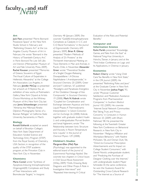# **faculty and staff** *News*

#### **Art**

Jack Flam presented "Pierre Bonnard: Possessive Space" at the New York Studio School in February; and "Rethinking Oceanic Art" at the Los Angeles County Museum of Art in February. He wrote "Bonnard in the History of Twentieth-Century Art," in *Pierre Bonnard:The Late Still Lifes and Interiors* (Metropolitan Museum of Art and Yale University Press, 2009). Rachel Kousser presented "Memories of Greece, Souvenirs of Egypt: The Visual Culture of Expatriates in Hellenistic Alexandria" at the College Art Association, Los Angeles, in February. Jennifer McCoy co-presented her artwork at *I'll Replace You,* an exhibition of new works, at Postmasters Gallery, New York Cityand at Artists Choice Workshop, at the Whitney Museum of Art, New York City, last year. Janna Schoenberger presented "Almerisa the Milkmaid: Rineke Dijkstra's Photographic Series of a Bosnian Refugee" at California State University, Sacramento, in March.

#### **Biology**

Ronald Eckhardt accepted an award on behalf of Brooklyn College's New York State Department of Education–funded Science and Technology Entry Program (STEP) from the Royal Society of Chemistry, USA Section, in recognition of the quality of the STEP academic program, at the Princeton Club in New York City in November.

#### **Chemistry**

Maria Contel wrote "Synthesis of Apoptosis-Inducing Iminophosphorane Organogold(III) Complexes and Study of Their Interactions with Biomolecular Targets," in *Inorganic*

*Chemistry* 48 (January 2009). She cowrote "Gold(III)-Iminophosphorane Complexes as Catalysts in C-C and C-O Bond Formations," in the *Journal of Organometallic Chemistry* 694 (January 2009). Brian R. Gibney presented "Modern Methods of Analysis of Zn Proteins" at the Thirteenth International Meeting on Trace Elements in Man and Animals, in Pucón, Chile, in November. Alexander Greer wrote "Theoretical Studies of a Singlet Oxygen-Releasing Dioxapaddlane: 1,4-Diicosa Naphthalene-1,4-endoperoxide," in *Structural Chemistry* 20 (2009). Greer and Joel F. Liebman, '67, published "Paradigms and Paradoxes: Energetics of the Oxidative Cleavage of Azo Compounds," in *Structural Chemistry* 19 (2008). Mark N. Kobrak wrote "Coupled Ion Complexation and Exchange between Aqueous and Ionic Liquid Phases: A Thermodynamic Interpretation," in *Solvent Extraction and Ion Exchange* 26 (2008). Kobrak, together with graduate student Hualin Li and undergraduates Murvat Ibrahim and Ismail Agberemi, wrote "The Relationship between Ionic Structure and Viscosity in Room-Temperature Ionic Liquids," in the *Journal of Chemical Physics* 129 (2008).

#### **Children's Studies** Margaret-Ellen (Mel) Pipe

(Psychology) was appointed to the editorial board of the *Journal of Experimental Psychology: Applied.* She cowrote two chapters in *Critical Issues in Child Sexual Abuse Assessment* (Wiley, 2009):"Dolls, Drawing, Body Diagrams and Other Props: A Role in Investigative Interviews?" and "Repeated Interviewing: A Critical

Evaluation of the Risks and Potential Benefits."

#### **Computer and Information Science**

Rohit Parikh presented "Knowledge, Games, and Tales from the East" at National Tsing-Hua University, in Hsinchu,Taiwan, in January; and at the Third Indian Conference on Logic and Its Applications, in Chennai in January.

#### **Economics**

Robert Cherry wrote "Using Child Care Tax Benefits in New York State," in the *CPA Journal* (2009). He presented "Rethinking Poles and Jews" at the Graduate Center in New York City in November. **Joshua Fogel**, '93, wrote "Physician Customer Satisfaction and Medication Assistance Programs from Pharmaceutical Companies," in *Southern Medical Journal* 102 (2009). He cowrote "Internet Social Network Communities: Risk Taking,Trust, and Privacy Concerns," in *Computers in Human Behavior* 25 (2009) with Elham Nehmad, '08. He presented the following at the Twentieth Greater New York Conference on Behavioral Research, in New York City in November:"Religious Affiliation and Workplace Behaviors," with Nadine McSween, '06, and Osman Dutt, '06; "Direct-to-Consumer Prescription Advertisements and Its Impact on College Student Consumers," with Daniel Novick, undergraduate student; and "Predicting the Purchase of Designer Clothing over the Internet," with undergraduate student Mayer Schneider. At the same conference, he won the Guzewicz Award for Outstanding Cross-Cultural Research for "The Internet as a Source of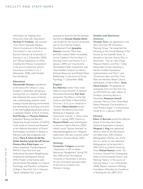Information for Helping Asian Americans Deal with Depression." Hershey H. Friedman, '68, cowrote "Can 'Homo Spiritualis' Replace 'Homo Economicus' in the Business Curriculum?" in the *e-Journal of Business Education & Scholarship of Teaching* 2, no. 2 (December 2008); and "Ethical Imperatives of CEOs: Creating the Virtuous Corporation," in the *Journal of Business Systems, Governance and Ethics* 4, no. 3 (December 2008), with Frimette Kass-Shraibman.

#### **Education**

Namulundah Florence volunteered at the Sierra Flor School, in Lasso, Ecuador, in December and January, working both on a teachers' seminar that addressed the issues of teacher role, understanding students' needs, creating inclusive learning environments, and developing an enriching curriculum in the teaching/learning process, and as a substitute teacher at the K–8 school. Paul McCabe and Florence Rubinson presented "Braving the Barriers: Supporting Faculty Inclusion of GLBTQ Youth Issues in Courses and Research" at the National Association of School Psychologists convention, in Boston in February, with Eliza Dragowski and others. María R. Scharrón-del Río, Delida Sanchez, Lynda Sarnoff, Haroon Kharem,Alma Rubal-Lopez, and others presented "Transformational PATHS in East New York and Multicultural Education: Redefining the Professional Development School (PDS) Model" at the Twenty-sixth Annual Winter Roundtable on Cultural Psychology and Education, at Teachers College in NewYork City in February. "Speak Up/Speak Out," a grant

proposal by Scharrón-del Río, Sanchez, Sarnoff, and Graciela Elizalde-Utnick was funded for the second consecutive year by the Diversity Projects Development Fund. Jacqueline Shannon cowrote "Who Stays and Who Leaves? Father Accessibility Across Children's First Five Years," in *Parenting: Science and Practice* 9, no. 1 (January 2009); and "Low-Income Nonresident Father Involvement with Their Toddlers:Variation by Fathers' Ethnicity, Resources, and Mother-Father Relationship," in the *Journal of Family Psychology* 11 (December 2008).

#### **English**

Eric Alterman wrote "How Israel Failed Its Arab Minority," in *Moment,* November/December. Karl Steel presented "The Return of the Pig? Violence and Meat in Resurrection Doctrine," at St. Louis University in October. Albena Vassileva wrote "Spoken Revolutions: Discursive Resistance in Bulgarian Late Communist Culture," in *Poetics Today* 30, no. 1 (spring 2009). Poems by Marjorie Welish were anthologized in *American Hybrid* (Norton, 2009). Welish wrote "Spaced Intertext," at http://jacketmagazine.com /36/guestwelish.shtml. She also cowrote *Oaths? Questions?* (Granary Books, 2009.)

#### **Geology**

Constantin Crânganu presented "Application of GIS to Water Resources Management" during GIS Day 2008 at East Stroudsburg University in November. In January, he was nominated associate editor of the *Journal of Marine and Petroleum Geology.*

#### **Health and Nutrition Sciences**

Christian Grov was appointed to the New York City HIV Prevention Planning Group. He presented the following at the Annual Meeting of the Society for the Scientific Study of Sexuality, in San Juan, Puerto Rico, in November: "Sex on Club Drugs: Pleasure, Patterns, and Risk";"Using Respondent Driven Sampling to Identify 'Invisible' Populations: Implementation and Ethics"; and "Emotional Labor and Men: How Male Sex Workers Break Cultural Stereotypes of Men's Work." Annie Hauck-Lawson, '78, appeared on *Gastropolis: Food and New York City* on WFUV-FM, the radio station of Fordham University, Bronx, in December. Roseanne Schnoll cowrote "Mercury from Chlor-Alkali Plants: Measured Concentrations in Food Product Sugar," in *Environmental Health* 8, no. 2 (January 2009).

#### **History**

Edwin G. Burrows joined the editorial board of the New York State Historical Association in January. Margaret L. King was appointed editor-in-chief of the *Renaissance and Reformation OBO* (Oxford Bibliographies Online), one of the first of a series of new electronic bibliographies to be launched in 2009–2010 by Oxford University Press. Michael Rawson wrote "On Common Ground:The Overlapping Fields of Environmental History and Planning History," in the *Journal of Planning History* 7, no. 4 (November 2008). Rawson received a Whiting Foundation Fellowship for Excellence in Teaching for the 2009–2010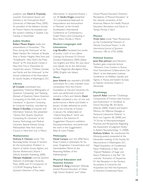academic year. David G.Troyansky cowrote *Transnational Spaces and Identities in the Francophone World* (University of Nebraska Press, 2009). As president of the Western Society for French History, he presided over the society's meeting in Quebec City, Canada, in November.

#### **Judaic Studies**

Robert Moses Shapiro made two presentations in November:"The Press during the Holocaust" at the Rabbi Herbert Tarr Institute at Temple Sinai, in Roslyn Heights, New York; and "Kristallnacht: Why Didn't the Press Shout?" at Mt. Sinai Jewish Center, in New York City. In December he chaired the session "Children, Gender, and Family and the Holocaust" at the annual conference of the Association for Jewish Studies, in Washington, D.C.

#### **Library**

Jill Cirasella contributed two appendices,"Historical Bibliography of Quantum Computing" and "Keeping Abreast of Quantum News: Quantum Computing on the Web and in the Literature," in *Quantum Computing for Computer Scientists,* cowritten by Noson S.Yanofsky (Computer and Information Science). She presented "Quirky, Not Quacky: Quantum Computing for Librarians" at the Science,Technology, and Medical Librarians Special Interest Group, Metropolitan New York Library Council, in New York City in March.

#### **Mathematics**

Anthony E. Clement wrote "The Baumslag-Solitar Groups: A Solution for the Isomorphism Problem," in *Aspects of Infinite Groups, Algebra, and Discrete Mathematics,Volume 1* (World Scientific Publishing, 2008). Olympia Hadjiliadis cowrote *Quickest Detection* (Cambridge University Press, 2008) and "A Comparison of 2-CUSUM Stopping Rules for Quickest Detection of Two-sided

Alternatives," in *Sequential Analysis* 1, vol. 28. Sandra Kingan presented "A Computational Approach to Inequivalence and Isomorphism in Matroids" at the Fortieth Southeastern International Conference on Combinatorics, Graph Theory, and Computing, in Boca Raton, Florida, in March.

#### **Modern Languages and Literatures**

Luigi Bonaffini translated two books of poetry: *Calchi di luna* (*Moon Castings*), by Vincenzo Di Oronzo (Gradiva Publications, 2009) (Italian into English); and *What She Says about Love (Quello che lei dice dell'amore),* by Tony Magistrale (Bordighera Press, 2008) (English into Italian).

#### **Music**

Jason Eckardt was awarded a \$10,000 commission for a new chamber music composition from the Fromm Foundation at Harvard University. His work was performed at portrait concerts in Paris and Helsinki. David Grubbs completed a tour of nine solo performances in Berlin and Dublin in January. Grubbs delivered an artist's talk at the University of Sussex in January. He collaborated on "Hybrid Song Box.4," which was included in the Solomon R. Guggenheim Museum's exhibition *theanyspacewhatever,* and performed the work in the Guggenheim's Peter B. Lewis Theater.

#### **Philosophy**

Daniel Campos won the 2008 Peirce Essay Contest in philosophy for his essay "Imagination, Concentration, and Generalization: Peirce on the Reasoning Abilities of the Mathematician."

#### **Physical Education and Exercise Science**

Howard Z. Zeng presented "Attitude toward Physical Education of Urban High School Students" and "Urban

School Physical Education Directors Perceptions of Physical Education," at the national convention of the American Alliance for Health, Physical Education, Recreation, and Dance, in Tampa, Florida, in April.

#### **Physics**

Viraht Sahni wrote "New Perspectives on the Fundamental Theorem of Density Functional Theory," in the *International Journal of Quantum Chemistry* 108, no. 2756 (2008).

#### **Political Science**

Janet Elise Johnson (and Women's Studies) gave a keynote lecture, "Women's Crisis Centers in Russia: How Transnational Collaborations Can Work," at the Aleksanteri Institute Conference on Welfare, Gender, and Agency in Russia and Eastern Europe, at Helsinki University, Finland, in December.

#### **Psychology**

Laura A. Rabin cowrote "Cholinergic Components of Frontal Lobe Function and Dysfunction," in *Handbook of Clinical Neurology* 88, 3rd Series (Elsevier, 2008);"Implicit and Explicit Memory for Affective Passages in Temporal Lobectomy Patients," in *Brain and Cognition* 68 (2008); and "A Survey of Neuropsychologists' Practices and Perspectives Regarding the Assessment of Judgment Ability," in *Applied Neuropsychology* 15 (2008). Anthony Sclafani, '66, coauthored the following posters presented at the November meeting of the Society for Neuroscience in Washington, D.C.: "Rapid Acquisition of Conditioned Flavor Preferences in Rats," and "Opioid Mediation of Sugar and Starch Preference in the Rat." He cowrote "Activation of Dopamine D1-like Receptors in the Nucleus Accumbens Is Critical for the Acquisition, but Not the Expression, of Nutrient-Conditioned Flavor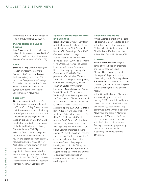Preferences in Rats," in the *European Journal of Neuroscience* 27 (2008).

#### **Puerto Rican and Latino Studies**

Alan A.Aja cowrote "The Influence of Latin@ Religion on American Politics," in *Encyclopedia on Hispanic American Religious Cultures* (ABC-CLIO, 2009).

#### **SEEK**

Sharona A. Levy wrote "Reading the Reader," in *Academic Commons* (January 2009). Levy and Robert J. Kelly (emeritus) presented "Critical Inquiry: A Comprehensive Strategy for Student Success" at the Faculty Resource Network 2008 National Symposium, at the University of San Francisco in November.

#### **Sociology**

Gertrud Lenzer (and Children's Studies) convened and moderated the Third Child Policy Forum of New York: Implementation and Monitoring of the Optional Protocol to the U.N. Convention on the Rights of the Child on the Sale of Children, Child Prostitution, and Child Pornography, at the United Nations in February. She established a ChildRights Working Group that will prepare a New York State Party Report to review the degree to which statutes, regulations, and programs of New York State serve to protect children and adolescents from sexual exploitation. Lenzer was invited to join the steering committee of the Million Father Club (MFC), a fathering initiative from the office of Assembly Member William A. Scarborough.

#### **Speech Communication Arts and Sciences**

Isabelle Barrière wrote "The Vitality of Yiddish among Hasidic Infants and Toddlers in a Low SES Preschool in Brooklyn" in *Proceedings of the 2008 Czernowicz Yiddish Language International Centenary Conference* (Sovetskii Pisatel, 2009). She cowrote "The Onset and Mastery of Spatial Language in Children Acquiring British Sign Language," in *Cognitive Development* 23 (2008). She presented "Quantitative Effects on Yiddish/English Bilingual Development," with Shoshy Frenkel, M.S., '99, and others at Boston University in November. Renee Fabus and Aimee Sidavi, '08, wrote "A Review of Stuttering Intervention Approaches for Preschool and Elementary School-Age Children," in *Contemporary Issues of Communication Sciences and Disorders* (Spring 2009). Gail Gurland; Beryl Adler, '67; and Leda Molly, '79, wrote *Vocabulary Power: Sound-a-Likes* (Play Bac Publishers, 2008), which won the 2008 Parents Choice Award, and *Vocabulary Power: Raining Cats and Dogs* (Play Bac Publishers, 2008). Susan Longtin presented a short course,"A Parent Education Program for Preschool Children with Autism," at the annual convention of the American Speech, Language, and Hearing Association, in Chicago in November. Cyndi Stein presented at St. John's Hospital for the department of psychiatry grand rounds on incorporating the coaching model in medical practice.

#### **Television and Radio**

*Armed Defense,* a short film by Irina Patkanian, has been selected to play at the Big Muddy Film Festival in Carbondale, Illinois; the Connecticut Film Festival in Danbury; and the Athens Film Festival in Athens, Ohio.

#### **Theater**

Rose Burnett Bonczek taught a series of workshops on ensemble and improvisation at Leeds Metropolitan University and at Harrogate College, both in the United Kingdom, in February. Helen E. Richardson participated in a panel discussion,"Eliminate Violence against Women through the Arts and the Media,"

at the United Nations in March. She was dramaturg and co-curator of the play *MIKA*, commissioned by the United Nations for the Elimination of Violence Against Women Day, performed at the United Nations in November and again in March for International Women's Day. Since December, she has been working with the United Nations to seek funding to develop a project using theater as a framework for supporting the empowerment of women.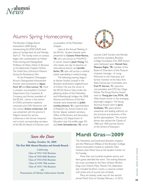

# Alumni Spring Homecoming

The Brooklyn College Alumni Association's 2009 Spring Homecoming ALUMNI DAZE took place on Sunday,April 26, and Monday, April 27. The Sunday event on campus began with a presentation by Pulitzer Prize–winning and Distinguished Professor of History Edwin G. Burrows on his latest book, *Forgotten Patriots: The Untold Story of American Prisoners During the Revolutionary War.*

At the President's Champagne Brunch, Distinguished Achievement Awards were presented to Agnes Ford, '69 and Don Lemon, '96. Ford is assistant vice-president, Contract Department, Guy Carpenter & Company; and former president of the BCAA. Lemon is the anchor of CNN's primetime weekend newscasts and *CNN Newsroom with Don Lemon.* Arlene Lichterman, '53 was presented with the Jerome S. Milgram Award for service. Lichterman is the former treasurer and current corresponding secretary of the BCAA Board of Directors and co-president of the Manhattan Chapter.

Later, at the Annual Meeting of the BCAA, Student Awards were presented to Cassana Fisher-Ramos, '09, who will pursue an M.D./Ph.D. in cancer research; Jiaxin Huang, 'II, who hopes one day to become an international doctor; and Jennifer Sarhis, '09, who will pursue a medical career specializing in endocrinology.

The following evening, Stage 6 at Steiner Studios, located in the Brooklyn landmarked neighborhood of Clinton Hill, was the venue of the BCAA Alumni Gala. Under the glittering skyline of the Manhattan and Williamsburgh bridges, the 2008 Alumna and Alumnus of the Year Awards were presented to ludith Lockley Johnson, '61, superintendent of Peekskill City School District and former deputy assistant secretary, Office of Elementary and Secondary Education, U.S. Department of Education (see full profile, page 47); and Irwin Schneiderman, '43, senior



counsel, Cahill Gordon and Reindel, and former president, Brooklyn College Foundation.The 2009 honors were bestowed upon Hannah Sara Matuson Rigler, '78, member of the Board of Overseers of the Museum of Jewish Heritage—A Living Memorial to the Holocaust, and former member of the New York State Democratic Committee, and Fred M. Gerson, '71, executive vice-president and CFO, San Diego Padres.The Young Alumna Award went to Young Jean Lee, M.F.A., '05, Obie Award winner in the emerging playwright category. The Young Alumnus Award went to Jerry Goldstein, '93, space physics researcher and leading authority on the structure and dynamics of the Earth's plasmasphere. The reunion dinner also saluted the Classes of 1968 and 1969 and the Alumni of the School of Education.

## *Save the Date*

**Sunday, October 18, 2009 The Post 50th Alumni Reunion and Awards Brunch**

*Celebrating* **Class of 1954 55th Reunion Class of 1949 60th Reunion Class of 1944 65th Reunion Class of 1939 70th reunion Class of 1934 75th Reunion** *also* **Presentation of Lifetime Achievement Awards**

# **Mardi Gras—2009**

The Manhattan and Southwest Brooklyn chapters and the Millennium Affiliate of the Brooklyn College Alumni Association hosted an authentic New Orleans–style Mardi Gras at the Student Center on Fat Tuesday.

More than one hundred students, alumni, and their guests attended the event. The evening featured live music provided by the New Orleans Rhythm Kings and Li'Nard's Many Moods.The celebration also included Southern cuisine, a costume contest with prizes and, of course, lots of beads.

Plans are already under way for the second annual Mardi Gras on Tuesday, February 16, 2010.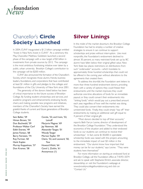

# Chancellor's **Circle Society Launched**

In 2004, CUNY inaugurated a \$1.2 billion campaign entitled "Invest in New York, Invest in CUNY." At a ceremony this May, Chancellor Matthew Goldstein launched a second phase of the campaign with a new target of \$3 billion in investments from private sources by 2012. The campaign is the most ambitious fundraising initiative ever taken by a public, urban university. Brooklyn College's contribution to the campaign will be \$200 million.

CUNY also announced the formation of the Chancellor's Society, which recognizes those alumni, friends, business leaders, foundations, and corporations that have contributed at least \$1 million in gifts and pledges to the colleges and foundations of the City University of New York since 2001.

The generosity of the donors listed below has been of critical importance to the future success of Brooklyn College. By funding student scholarships and services, and academic programs and enhancements; endowing faculty chairs; and making possible new programs and initiatives, members of the Chancellor's Society have earned the grateful thanks of current and future generations of Brooklyn College students.

| Sam Beller, '59                                   | Carole, '53, and Irwin, '53, |  |  |
|---------------------------------------------------|------------------------------|--|--|
| Himan Brown, '34                                  | Lainoff                      |  |  |
| Don Buchwald, '59                                 | Marjorie Magner, '69         |  |  |
| Professor Walter Cerf                             | Jay Newman, '68              |  |  |
| Edith Everett, '49                                | Alexander Tanger, '01        |  |  |
| James Fantaci, '68                                | Woody Tanger                 |  |  |
| Barry Feirstein, '74                              | Morton Topfer, '59           |  |  |
| Roy Furman, '60<br>Claire, '52, and Leonard, '50, |                              |  |  |
| Hank Kaplan                                       | Tow                          |  |  |
| Murray Koppelman, '57                             | Howard Wohl, '64             |  |  |
| Don Kramer, '58                                   | Carol L. Zicklin, '61        |  |  |
|                                                   | Anonymous (1)                |  |  |
|                                                   |                              |  |  |

## **Silver Linings**

In the midst of the market downturn, the Brooklyn College Foundation has had to employ a number of creative strategies to ensure it can continue to support scholarships and prizes without interruption. Like most nonprofits, the Foundation's endowment declined to almost 30 percent, so many restricted funds set up by BC alumni have fallen below their original gifted value. New York State law places restrictions on distributions from such "underwater" accounts—which translates to approximately three hundred scholarships that could not be offered in the coming year without alterations to the agreements that created them.

To address the shortfall, the Foundation sent letters to more than three hundred endowment donors, providing them with a variety of options: they could freeze their endowments until the market improves; they could authorize one-time allocations of funds for an immediate payout; or they could convert their endowments into "sinking funds," which would pay out a prescribed amount each year, regardless of how well the market was doing. They could also convert their endowments into unrestricted funds. Finally, they could simply "top off" their endowments, by making an additional cash gift equal to 4 percent of their original gift.

"Most donors decided to top off their accounts," reports Beth Farryn Levine, director of development of the Brooklyn College Foundation."They understood the economics of the situation and added to their endowed funds so our students can continue to receive their scholarships." In fact, some \$130,000 in spendable scholarship funds was raised with this project, amounting to the immediate impact of over \$3 million in the endowment. "Our alumni know how important that money can be for our students," says Levine. "They were students here themselves!"

For more information on starting an endowed fund at Brooklyn College, call the Foundation office at 718.951.5074 and ask to speak with Stephanie Ehrlich, associate director, stewardship, or visit the Foundation's webpage at www.brooklyncollegefoundation.org and click on "Contact Us."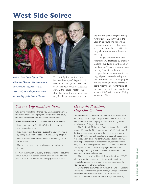# **West Side Soiree**



*Left to right: Clara Lipson, '71, Ellen and Murray, '57, Koppelman, Roy Furman, '60, and Howard Wohl, '64, enjoy the preshow soiree in the lobby of the Palace Theater.*

This past April, more than one hundred Brooklyn College alumni enjoyed Broadway's hot ticket this year—the new revival of *West Side Story* at the Palace Theater. The show has been drawing raves—not only for the performances, but for

the way the show's original writer, Arthur Laurents, deftly wove the Spanish language into his original concept, returning a contemporary feel to the show that electrified its original audiences more than fifty years ago.

The gala entertainment and fundraiser was facilitated by Brooklyn College Foundation board member Roy Furman, '60, who is coproducing the play. Apart from the updated dialogue, the revival was true to the original production—including the vivid Jerome Robbins choreography and the soaring Leonard Bernstein score. After the show, members of the cast returned to the stage for an informal Q&A with Brooklyn College alumni and friends.

### *You can help transform lives….*

Gifts to the Annual Fund finance vital academic scholarships, internships, travel abroad programs for students and faculty, and new technologies and research in our classrooms.

#### There are many ways to contribute to the Annual Fund:

- Leave your mark on Brooklyn College by purchasing a commemorative brick.
- Provide enduring, dependable support to your alma mater by joining the Boylan Society, our monthly giving program.
- Honor or remember a loved one with a special gift in his or her name.
- Make a convenient one-time gift online, by mail, or over the phone.

For more information about any of these options or about the Annual Fund, please contact Shara Richter, associate director, Annual Fund at 718.951.5074 or sharag@brooklyn.cuny.edu.

### *Honor the President, Help Our Students*

To honor President Christoph M. Kimmich as he retires from the College, the Brooklyn College Foundation has created a new fund dedicated to helping ambitious students graduate from Brooklyn College in four years.

The Christoph M. Kimmich Fund for Student Success will support TOCA (The On-Course Advantage).TOCA is one of the College's signature programs, the first of its kind among the CUNY colleges, widely imitated, and nationally recognized. In the eight years since President Kimmich established TOCA, it has helped more than 1,700 students to graduate without delay. TOCA students promise to study full-time and without interruption. In return, the TOCA program offers them priority registration, guidance by professional counselors, and mentoring by an attentive faculty.

The proceeds of the Kimmich Fund will enrich the TOCA offering by paying summer and intersession tuition fees, stipends for internships and study programs, travel costs for interviews, and for other advantages.

Donations to the Christoph M. Kimmich Fund for Student Success may be made through the Brooklyn College Foundation. For further information, call 718.951.5074 or visit the Foundation website at www.brooklyncollegefoundation.org.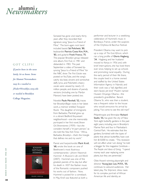# **alumni** *Newsmakers*

### GOT CLIPS?

*If you've been in the news lately, let us know. Items for* **Alumni Newsmakers** *may be e-mailed to JFodor@brooklyn.cuny.edu or mailed to* **Brooklyn College Magazine.**



Sonseed has gone viral nearly thirty years after they recorded their signature song,"Jesus Is a Friend of Mine." The born-again rock band included bassist Sal Polichetti, '80, keyboardist Patricia Costa Kim, M.A., '83, and guitarist Frank Franco, '75. The popular Brooklyn group released one album, *First Fruit,* in 1981 and disbanded in 1983. This past September a video of Sonseed lipsyncing "Jesus Is a Friend of Mine" for the NBC show *The First Estate* was posted onYouTube, and the song's catchy ska beat, sincere and somewhat daffy lyrics, and Polichetti's cheery vocals were viewed by nearly 2.5 million people, and dozens of parody versions (including one by Marilyn Manson) have been posted, too.

Novelist Paule Marshall, '52, traces her Brooklyn/Bajan roots in her latest work, a memoir entitled *Triangular Roads.* The daughter of immigrants from Barbados, Marshall grew up in a vibrant Bedford-Stuyvesant neighborhood—one she memorably portrayed in her first novel, *Brown Girl, Brownstones* (1959)—but she considers herself a "tri-part person," as she told the *NewYork Times:* "Africa, Barbados, Brooklyn—that's the triangle that defines me and my work."

Pianist and harpsichordist Mark Kroll, '68, wrote the book on one of Beethoven's most illustrious contemporaries—*Johann Nepomuk Hummel: A Musician's Life and World* (2007). Hummel was one of the greatest pianists of his day, but after his death in 1837 the flashier music of the Romantic composers pushed his works out of fashion. Now, Hummel is poised for a comeback. In May, Kroll was featured as both a

performer and lecturer in a weeklong celebration of Hummel's music in Bordeaux, France, under the auspices of the Orpheus & Bacchus Festival.

President Obama may want to pick up a copy of *The East African,* which ran a long profile of Gloria Hagberg, '34. Hagberg and her husband moved to Kenya in 1956 and, with brief interruptions, she has lived there ever since, helping to set up schools and promoting racial equality. During the early period of their life there, the couple lived in a home owned and staffed by the United States Information Agency in Nairobi, and their cook was a "tall, dignified, and stern-faced, yet kind" Muslim named Hussein Onyango Obama—the president's grandfather. Barack Obama Sr., who was then a student, was a frequent visitor to the house who would announce his arrival by joking, "I've come to see the old man!"

Philanthropist and filmmaker Richard Stadin, '55, has given the city of New York eight butterfly gardens in the past eight years, including one in Brooklyn's Marine Park and four in Manhattan's Central Park. He estimates that the gardens, furnished with the types of plants that attract butterflies, have cost him \$10,000 to create. "This recession will not affect what I am doing," he told a blogger for the magazine *Contribute— The People and Ideas of Giving.* "I spend money each year replacing some plants, but they are perennials."

Obie Award–winning playwright and director Young Jean Lee, M.F.A., '05, continues to astound audiences. Her latest play, *The Shipment,* drew raves for its complex portrait of African American life and identity, an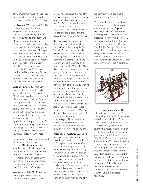achievement that made her audience "walk a knife's edge of race and meaning," according to *The NewYorker.*

Joel Isaacson, '52, studied at Brooklyn College with abstract painters Burgoyne Diller, Mark Rothko, and Max Ernst. After serving in the U.S. Army he turned to art history and obtained his doctorate at the University of California, Berkeley. For more than thirty years he taught art history at the University of Michigan. After retiring in 1995, he returned to painting full time and now lives in Berkeley. An exhibition of his recent work was held in the University of California Graduate Theological Library. Entitled *Walls,* the work was inspired by the security fences in Israel and along the U.S.-Mexico border. To view the artist's work, visit www.isaacsonpaintings.com.

Linda Zuckerman, '63, has been editing children's books for forty years, including three Caldecott Medal winners and two that received Newbery Honor citations. By now the lady knows what she likes and doesn't like. Her first novel for young adults, *A Taste for Rabbit* (Arthur A. Levine, 2007), imagines a dystopia run by talking foxes and rabbits—a sour fantasy world full of violence, oppression, and desperation. Last fall it won the 2008 Oregon Book Award forYoung Adult Literature. *Horn Book,* a magazine that reviews children's literature, dubbed it "bunny noir."

In November, Chicago radio host and University of Chicago professor emeritus Milt Rosenberg, '46, was awarded the National Humanities Medal by former President George W. Bush. The medal recognizes Rosenberg's thirty-six years as the host of the "elevated conversation and profound thought" on WGN Radio's Extension 720 program.

Veronique LeMelle, M.F.A., '84, has been tapped to lead the Boston Center for the Arts; she was most

recently the executive director of the Louisiana Division of the Arts. She has begun the job of assuring the rabid Red Sox fans in her new hometown that she harbors no traitorous allegiances: "I keep telling people I'm a Mets fan," she explained to the *Boston Globe.* "I'm not a Yankees fan."

Bernard Vogel was one of 228 Brooklyn College students, alumni, and staff who died during the Second World War, but it wasn't until last November that his family learned how. Vogel was captured by the Germans in December 1944 and was sent off with 350 other Jewish or "Jewish looking" POWs to the Nazi slave labor camp Berga an der Elster. Along with another prisoner,Vogel attempted to escape in February 1945 but was caught. As punishment, the starving men were forced to stand in front of the barracks with no food or water until they could stand no more. After two or three days, both men collapsed, near death. Army medic Anthony Acevedo cared for Vogel during his final moments, and last fall a CNN.com article about Acevedo's wartime experiences included the description of Vogel's death—solving a sixty-four-year-old mystery for his younger brother Martin Vogel. "All of a sudden a whole past has come up in the present, and it's a very emotional situation right now," he told CNN.

Rabbi Jerome Gurland, '52, helped organize a fundraiser for the Macedonia Church of God in Christ in Springfield, Massachusetts, after it was set aflame by an arsonist in the early morning hours following Barack Obama's election. Because the congregation is primarily African American, indications are that this was a hate crime, an act Rabbi Gurland found "scandalous." Gurland, a cultural liaison coordinator for Western New England College, told the local CBS affiliate: "We can't permit this destruction to prevail in

the community; we don't want Springfield to be like this."

"After about fourteen years I have finally found time to direct a play," went the e-mail from Eugene Williams, M.F.A., '90. The note was surprising, as Williams is one of the most respected theater directors in the Caribbean, but his position as director of the School of Drama at Edna Manley College of the Arts in Jamaica has curtailed his stage directing. The *Jamaica Gleaner* reports that Williams directed a production of Amba Chevannes' *Dinner with Eleanor* at the University of the West Indies.



It's a big year for Alan Vega, '60, cofounder of the influential 1970s punk-rock group Suicide. Vega (who studied art and physics at Brooklyn College when he went by the name Alan Bermowitz) celebrated his seventieth birthday with the help of his longtime fan Bruce Springsteen, who covered Vega's tune "Dream, Baby, Dream"—the first of a series of limited-edition CD tributes by fellow rockers. This summer the Museum of Contemporary Art in Lyon, France, presents a major retrospective of Vega's light sculptures in an exhibit that runs through August 2. And on the weekend of September 11,Vega reteams with Suicide keyboardist Marty Rev to recreate the band's eponymous 1977 album at Kutcher's Country Club in Monticello, New York.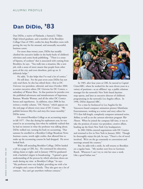# **Dan DiDio, '83**

Dan DiDio, a native of Flatlands, a Samuel J. Tilden High School graduate, and a member of the Brooklyn College Class of 1983, credits his deep Brooklyn roots with paving the way for his unusual, and unusually successful, business career.

For more than twenty years, DiDio has steadily climbed the executive ladder in the hurly-burly of children's television and comic-book publishing. "There is a sense of hipness, of coolness" that is associated with coming from Brooklyn, he says. "You walk into a situation, like a new job, with a sense of street smarts that people from other parts of the city, and even elsewhere, pick up on. It definitely helps."

He adds, "It also helps that I've read a lot of comics."

He still does. For the past seven years DiDio has not only read them, he also has edited them—first as DC Universe vice-president, editorial, and since October 2004 as senior executive editor, DC Universe for DC Comics, a subsidiary of Warner Bros. In that position he presides over the published adventures and misadventures of Superman, Batman, Wonder Woman, and all the other DC Comics heroes and superheroes. In addition, since 2006 he has written a weekly column, "DC Nation," which appears on the end page of almost every issue of DC Comics. "We publish between fifty-five and sixty-five issues monthly," DiDio notes.

He entered Brooklyn College as an accounting major in fall 1977. One day during his sophomore year, he was seated in an accounting class when he suddenly realized that he had no interest in what the professor was talking about. DiDio walked out, turning his back on accounting. That summer he enrolled in a Brooklyn College Broadcast News Institute course, worth eight credits, that allowed him to make up the accounting courses he had dropped. He never looked back.

While still attending Brooklyn College, DiDio landed a job as a page at CBS, Inc. He continued his education, taking classes at night, and in January 1983 he graduated with a bachelor's degree in broadcasting. "I gained a great understanding of the process by which television shows are made during my time at Brooklyn College," he says. "My professors were very helpful, providing me with a lot of insights and a sense of family. They also gave me a lot of contacts. You can't get anywhere without contacts."



In 1985, after four years at CBS, he moved to Capital Cities/ABC, where he worked for the next eleven years in a variety of positions—as an affiliates' rep, a public relations manager for the network's New York–based daytime soap operas, and later as executive director of children's programming in the network's Los Angeles offices. In 1996, DiDio departed ABC.

For a time he freelanced in Los Angeles for the Vancouver-based computer animation pioneer Mainframe Entertainment, working as a writer and story editor for TV's first full-length, completely computer-animated series, *ReBoot,* as well as on the cartoon television program *War Planets.* When he joined the company full time, it was to take the position of senior vice-president, creative affairs, heading up the firm's New York City headquarters.

In 2001 DiDio entered negotiations with DC Comics and returned to live in New York in January 2002. Though he thoroughly enjoys his job, he says, "There's a lot of travel involved. We're on the go constantly to conventions and meetings around the country."

But, he adds with a smile, he still returns to Brooklyn on a regular basis. "My mother now lives in Gerritsen Beach. Whenever I can I try to visit her once a week. Like a good Italian son."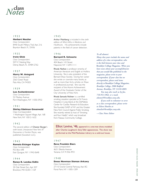# **class** *Notes*

#### 1 9 3 3

#### **Herbert Nestler**

*Class Correspondent* 8440 South Military Trail, Apt. 216 Boynton Beach, FL 33436

#### 1 9 3 5

#### **Irwin Glick**

*Class Correspondent* 5071C Nesting Way Delray Beach, FL 33484-2762

#### 1 9 3 7

#### **Harry W. Anisgard**

*Class Correspondent* 2563 Greer Road Palo Alto, CA 94303

#### 1 9 3 9

#### **Leo Aschenbrenner**

*Class Correspondent* 52 Mackey Avenue Port Washington, NY 11050-3932

#### 1 9 4 1

#### **Shirley Edelman Greenwald**

Class Correspondent 1 Washington Square Village, Apt. 16B New York, NY 10012-1632

#### 1 9 4 2

The second edition of Chester Burger's sixth book, *Unexpected New York: 87 Discoveries in Familiar Places,* was published (Goodwin LLC).

#### 1 9 4 3

#### **Romola Ettinger Kaplan**

*Class Correspondent* P.O. Box 648 East Quogue, NY 11942-0648

#### 1 9 4 4

#### **Renee B. Landau Eidlin** *Class Correspondent* 30 Oak Street Ext., Apt. 507 Brockton, MA 02301-1169

#### 1 9 4 5

Arthur Mashberg is included in the sixth edition of *Who's Who in Medicine and Healthcare*. His achievements include patents in the field of cancer detection.

#### 1 9 4 6

#### **Bernard R. Schwartz**

*Class Correspondent* 404 Beach 143 Street Neponsit, NY 11694-1111

Rhoda Nathan is professor emerita of American literature and English at Hofstra University. She is also president of the Bernard Shaw Society. During her career she wrote or cowrote many books, as well as more than forty articles on Shaw in professional journals. She was the recipient of the Alumni Achievement Award of the Graduate Center of the City University of New York.

Rhoda Samuels Nichter is a certified smoking cessation specialist at St. Francis Hospital, in Long Island, at the DeMatteis Center for Cardiac Research & Education. She founded GASP of NY and the Greater NewYork Council Against Public Smoking. She recently retired as host of "Smoking and Your Health," which was broadcast from Nassau Community College.

#### *To all alumni:*

*Many class years include the name and address of a class correspondent, who is the link between your class and* **Brooklyn College Magazine.** *When you have news about your accomplishments that you would like published in the magazine, please write to your correspondent. If your class has no correspondent, please send items directly to* **Brooklyn College Magazine,** *Brooklyn College, 2900 Bedford Avenue, Brooklyn, NY 11210-2889.*

*You may also reach us by fax, 718.951.5962, or e-mail, alumni@brooklyn.cuny.edu.*

*If you wish to volunteer to serve as a class correspondent, please write to Eileen Howlin at ehowlin@brooklyn.cuny.edu.*

*—Class Notes Editor*

Elliot Levine, '46, appeared in a one-man show, modeled after Charles Laughton's *Story Teller* appearances. The show was performed at the Mid-Manhattan Library to a sold-out house.

#### 1 9 4 7

#### **Reva Frumkin Biers**

*Class Correspondent* 4631 Ellenita Avenue Tarzana, CA 91356-4931

#### 1 9 4 8

#### **Eneas Newman Sloman Arkawy**

*Class Correspondent* 27110 Grand Central Parkway, Apt. 8G Floral Park, NY 11005-1209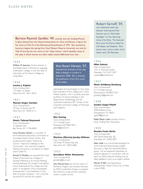Bernice Resnick Sandler, '49, recently won the Guiding Women in Sport Award from the National Association for Girls and Women in Sport, for her work on Title IX of the Educational Amendments of 1972. She received an

honorary degree this spring from Case Western Reserve University not only for Title IX but also for her work on the "chilly climate," which identifies many of the ways in which women are often subtly treated differently from men.

#### 1 9 4 9

William D. Isaacson, former lecturer in the Department of Romance Languages at Brooklyn College, is now the dean of instruction at Five Towns College on Long Island.

#### 1 9 5 0

#### **Louise J. Kaplan**

*Class Correspondent* 175 West 12 Street New York, NY 10011-8275

#### 1 9 5 1

#### **Marion Unger Gordon**

*Class Correspondent* 70 East 10 Street, Apt. 9P New York, NY 10003-5112

#### 1 9 5 2

#### **Sheila Talmud Raymond**

*Class Correspondent* 3 Lakeside Lane Bay Shore, NY 11706-8845

Irene Danzker Deitch is a member of the Professional Education Committee of the Staten Island Cancer Society. She produced and hosted "Tobacco & Cancer: Impact & Challenge to the Community." Her one-hour program *Making Connections* is broadcast on Staten Island Cable TV.

Ronald S.Tikofsky was awarded the Gold Medal of the American College of Nuclear Medicine at its Annual Meeting Awards Banquet.This medal is the highest honor bestowed by the college and was given "in recognition of his unsurpassed achievements in and dedication to the field of nuclear medicine." He is only the second Ph.D. and the first speech

### Ann Amari Harson, '57,

attended the premiere of her play *Miles to Babylon* in London in September 2008. She is awaiting the publication of her first novel, *Bunion Babes.*

pathologist and psychologist to have been both president of this college and a Gold Medal recipient. He is currently associate professor of clinical radiology in the Department of Radiology and the Columbia Kreitchman PET Center of the Columbia University College of Physicians and Surgeons.

#### 1 9 5 3

#### **Ben Suntag**

*Class Correspondent* 1311 Franklin Lane Rockaway, NJ 07866-5814 gatnus@gmail.com

#### 1 9 5 4

#### **Marlene (Marcia) Jacoby Hillman** *Class Correspondent*

255 West 94 Street, Apt. 6Q New York, NY 10025-6986

#### 1 9 5 5

#### **Geraldine Miller Markowitz**

*Class Correspondent* geraldine@nj.rr.com

Vera Pistrak Katz, the former mayor of Portland, Oregon, was recently honored by NEW Leadership Oregon, a program that mentors young women wanting a career in public service.

### Robert Sarnoff, '59,

was celebrated when the Queens International Film Festival cast its "Filmmaker Spotlight" on him, featuring three of his films. The featured films were *No Rooms Lobby,The Irish Ropes,* and *Dispatch.* Also shown was a short trailer of his latest work, *The Romeows.*

#### 1 9 5 6

#### **Mike Saluzzi**

*Class Correspondent* 1351 E. Mountain Street Glendale, CA 91207-1837 msaluzzi@earthlink.net

#### 1 9 5 7

#### **Micki Goldberg Ginsberg**

*Class Correspondent* 217 E. Maple Avenue Moorestown, NJ 08057-2011 ginsberg10@gmail.com

#### 1 9 5 8

#### **Sandra Seigel Pikoff**

*Class Correspondent* 4500 Williams Drive Georgetown,TX 78633 sspikoff@aol.com

Rabbi Meyer Lubin recently wrote a book, *Thrilling Torah Discoveries.*

#### 1 9 5 9

#### **Rosalie Fuchs Berle**

*Class Correspondent* 260 Garth Road, Apt. 3J5 Scarsdale, NY 10583-4057

Allen Gelb is an immunohematologist; his most important blood group antigen discovery is XgA, the sex-linked blood group. He has appeared frequently on national television in connection with his work on DNA paternity testing and has often testified in court as an expert witness.

Marilyn P. Safir was appointed a Distinguished Citizen of the City of Haifa in June 2008.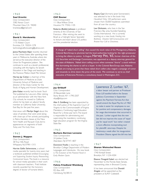#### 1 9 6 0

#### **Saul Kravitz**

*Class Correspondent* 3382 Kenzo Court Mountain View, CA 94040 kravitzsaul@gmail.com

#### 1 9 6 1

#### **David S. Herskowitz**

*Class Correspondent* 1175 Kildeer Court Encinitas, CA 92024-1278 technologicalforecasting@yahoo.com

Janice Pearlstein Alper recently returned to the United States after spending three years in Melbourne, Australia, where she served as the executive director of the Union for Progressive Judaism. She continues to work as a Jewish professional, consulting with the Agency for Jewish Education in San Diego and teaching in the Florence Melton Adult Mini School.

Harvey lay Cohen is chairman of the Department of Medicine at Duke University School of Medicine and director of the Duke Center for the Study of Aging and Human Development.

John Kabat recently had his book *Teach This!* published by Lulu.com. After retiring as an administrator with the New York City schools, he moved to California where he has been an adjunct faculty member at California State University, East Bay, for the past five years.

Interviews with Marilyn Siegel about the value of aerobics that were aired along with close-ups of her actively participating in Retro Aerobics classes at the New York Health and Racquet Club, led to appearances on segments of both *Today* and *The Early Show.*

#### 1 9 6 2

#### **Steven J. Nappen**

*Class Correspondent* 38 Troy Hills Road Whippany, NJ 07981-1315

Harriet Gellin Selverstone, a school media specialist for twenty-nine years, had a textbook published entitled *Encouraging and Supporting Student Inquiry: Researching Controversial Issues.* The book is a resource for school media specialists in their work with classroom teachers. Pratt Institute recently awarded her the honorary degree of doctor of humane letters.

#### 1 9 6 3 **Cliff Rosner**

*Class Correspondent* 111 Blue Willow Drive Houston,TX 77042-1105

Roberta (Bobbi) Johnson is professor emerita at the University of San Francisco. After retiring she went to Brazil as a Fulbright Senior Specialist to lecture and teach about U.S. politics and the presidential election.

Shayna Caul (formerly lanet Sonnenstein) was selected to be in the book *Holy Headshot!* Only 104 performers were chosen from 50,000 headshots submitted from all over the country.

Lee Glickstein, who lives in the San Francisco Bay area, founded Speaking Circles International. He is currently working on a new book, *Healing into Boldness: Dissolve Self-Consciousness and Answer Your Call to Greatness.*

A charge of "naked short selling" that caused the stock value of the Montgomery,Alabama, Colonial BancGroup to plummet had the local authorities looking for the right prosecutor to bring the villains to justice. In August,  $Harvey$  Pitt,  $'65$ , former chairman of the U.S. Securities and Exchange Commission, was appointed as a deputy attorney general for the state of Alabama. Naked short selling occurs when someone "shorts" a stock without first borrowing the shares to sell to a buyer. In the Colonial BancGroup case,Alabama officials are trying to prove that these naked short sellers also waged a campaign of rumor and innuendo to drive down the price of the stock. Pitt continues to serve as chief executive of Kalorama Partners, a consultancy based in Washington, D.C.

#### 1 9 6 4

#### **Jay Orlikoff**

*Class Correspondent* 20 Beaverdale Lane Stony Brook, NY 11790-2507 drjay@drjay.com

Alan S. Goldberg has been appointed by the chief justice of the Supreme Court of Virginia to the Commonwealth of Virginia Mandatory Continuing Legal Education Board for a three-year term.The board is responsible for administering and supervising the mandatory continuing legal education program for the Virginia State Bar.

#### 1 9 6 5

#### **Barbara Berman Leveene**

*Class Correspondent* 24 Jubilee Circle Aberdeen, NJ 07747-1807

Dominick Finello is teaching in the Brooklyn College Department of Modern Languages and Literatures. His new book is *The Evolution of the Pastoral Novel in Early Modern Spain.*

#### 1 9 6 6

#### **Felicia Friedland Weinberg**

*Class Correspondent* P.O. Box 449 Clarksburg, NJ 08510

### Lawrence Z. Lorber, '67,

a labor lawyer and partner at Proskauer Rose LLP, testified before the Senate Judiciary Committee in September against the Paycheck Fairness Act that would amend the Equal Pay Act of 1963 to make it easier for employees to sue for punitive and compensatory damages for wage discrimination that occurred in the past. Lorber argued that the new law did not improve the cause of "equal pay for equal work" but rather created a more effective moneymaking tool for plaintiffs' attorneys. Despite his testimony, a week after his inauguration President Obama signed the bill into law.

#### 1 9 6 7

#### **Sharon Weinschel Resen**

*Class Correspondent* 1740 Kimball Street Brooklyn, NY 11234-4304

Eleanor Finegold Sobel was elected last November to the Florida State Senate, representing cities in Broward County.

It has been announced that Donald Zingale will be appointed as the president at SUNY Cobleskill.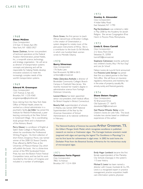#### 1 9 6 8

#### **Eileen McGinn**

*Class Correspondent* 210 East 15 Street, Apt.10N New York, NY 10003-3927

Steven Zaidman, former vice-president of technical operations at the Federal Aviation Administration, joined Noblis, Inc., a nonprofit science, technology, and strategy organization. He will serve as director of transportation systems concepts and planning and will be responsible for helping Noblis develop innovative solutions to meet the increasingly complex needs of the world's transportation systems.

#### 1 9 6 9

#### **Edward M. Greenspan**

*Class Correspondent* 1237 Avenue Z, Apt. 6G Brooklyn, NY 11235-4360 emgreenspan@optonline.net

Since retiring from the New York State Office of Mental Health, where he worked as a clinical administrator in a psychiatric facility, Jan Adler has joined the Institute for Retired Professionals, a peer learning community, at the New School in Greenwich Village. He is coordinating study groups there and is chairperson of the Advisory Board.

Perry Glasser is a professor of English at Salem State College in Massachusetts, where he coordinates the Professional Writing Program. His third collection of short fiction, *Dangerous Places,* was named winner of the 2008 GS Sharat Chandra Prize offered by BkMk Press at the University of Missouri–Kansas City, which will publish the book. He is a three-time winner of the PEN Syndicated Fiction Prize, has won the Boston Fiction Festival Competition twice, and has had his work recorded by the Library of Congress and included in a number of anthologies.

Doris Green, the first person to teach African dance/music at Brooklyn College, is the creator of Greenotation, a system designed to notate music of the percussion instruments of Africa. She is a contributor to the book *Go Tell Michelle,* in which one hundred black women wrote to Michelle Obama.

#### 1 9 7 0 **Barry Silverman**

*Class Correspondent* 176 Stults Lane East Brunswick, NJ 08816-5815 writeone@comcast.net

Helen Zaharakos Antholis is director of Brookdale Community College's Branch Campus in Freehold, New Jersey. She recently received her master's degree in administrative science from Fairleigh Dickinson University.

Leonard Banco has been appointed senior vice-president, chief medical officer, for Bristol Hospital in Bristol, Connecticut.

Beverly Hall, superintendent of schools in Atlanta, was named 2009 National Superintendent of the Year by the American Association of School Administrators at its national conference in February.

#### 1 9 7 2

**Stanley A. Alexander**

*Class Correspondent* 4 Indian Valley Road East Setauket, NY 11790

Peg Kershenbaum was ordained a rabbi in May 2008 by the Academy for Jewish Religion. She serves Congregation B'nai Harim in Pocono Pines, Pennsylvania.

### 1 9 7 3

#### **Linda E. Gross Carroll**

*Class Correspondent* 212 Stony Point Drive Sebastian, FL 32958 lcarroll32@comcast.net

Stephanie Calmenson recently authored two children's books, *May I Pet Your Dog?* and *Late for School!*

Nelson Levine de Luca & Horst announced that Francine Levitt Semaya has joined their firm as a lateral partner in the New York office. She will focus on insurance regulatory, reinsurance, and insolvency law in the areas of property, casualty, life, annuity, surety, and financial guaranty.

#### 1 9 7 4

#### **Diane Oeters Vaughn**

*Class Correspondent* 42 Briarwood Drive Old Saybrook, CT 06475 dianeleslie29@hotmail.com

Gail Maxine Wheeler Bailey wrote *Children's Stories for Little Folks.* This book includes two stories based on childhood experiences of the author.

The National Academy of Sciences has awarded Arthur Grossman, '73, the Gilbert Morgan Smith Medal, which recognizes excellence in published research on marine or freshwater algae. The Carnegie Institute scientist's medal (engraved with algae and sporting the legend "For Excellence in Phycology") is not his first laurel for achievement in algal areas: In 2002 he took home the Darbaker Prize from the Botanical Society of America for his meritorious study of microscopical algae.

#### 1 9 7 1 **Constance Forte Pigozzi** *Class Correspondent*

7802 16 Avenue Brooklyn, NY 11214-1004 Emily Hager Lembeck became the first female superintendent of the Marietta City Schools (Georgia) in the system's 113-year history.

Michael S. Lewis has been named a director with Cowan, Gunteski & Co., P.A. Lewis is a recognized expert in practice management, practice acquisition, health care information systems, physician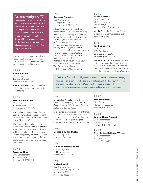### Valerie Hodgson, '77,

was recently promoted to director of photographic services with the New York City Police Department. She began her career at the NYPD's Photo Unit twenty-five years ago as a photographer. Some of her photographs appear in the book *Above Hallowed Ground––A photographic record of September 11, 2001.*

relations, reimbursement and billing, and management consulting. He is listed in both *Who's Who in America* and *Who's Who in Medicine and Healthcare.*

#### 1 9 7 5

#### **Rubin Leitner**

*Class Correspondent* 138 East 96 Street Brooklyn, NY 11212-3534

Howard Kellman was inducted into the Indiana Sportscasters and Sportswriters Hall of Fame.

#### 1 9 7 6

#### **Henry P. Feintuch**

*Class Correspondent* 50 Barnes Lane Chappaqua, NY 10514-2425

Alan Lieber is a partner with Barnett, Edelstein, Gross, Kass & Lieber, a health care law and medical malpractice defense firm in New York City.

The Board of Certification, Inc. (BOC) formally announced Frank E.Walters as athletic trainer director-elect. His term will begin in July. The BOC, a national credentialing agency, has been certifying athletic trainers and identifying, for the public, quality health care professionals since 1969.

#### 1 9 7 8

#### **Susan A. Katz**

*Class Correspondent* 120 Pinewood Trail Trumbull, CT 06611-3313

### 1 9 7 9 **Anthony Esposito**

*Class Correspondent* 211 Highway 35 N Mantoloking, NJ 08738-1420

Allison Reiss, head of the inflammation section of the Division of Rheumatology, Allergy and Immunology at Winthrop-University Hospital; her colleague Steven E. Carsons, chief of the hospital's Division of Rheumatology, Allergy and Immunology; and their collaborators recently wrote a paper in *Arthritis & Rheumatism,* an official monthly journal of the prestigious American College of Rheumatology. The title of the article is "Atheroprotective Effects of Methotrexate on Reverse Cholesterol Transport of Proteins and Foam Cell Transformation in Human THP-1 Monocyte/Machrophages."

#### 1 9 8 5 **Peter Huertas**

*Class Correspondent* 5135 Fedora Drive San Antonio,TX 78242 alamodude2001@yahoo.com

Jolie DeFeis is the founder of Energy Garden Inc., a communications and innovation agency.

#### 1 9 8 6

#### **Ian Lee Brown**

*Class Correspondent* 4631 Twin Lakes Lane Long Grove, IL 60047 Ian.Brown@erickson.com

Vincent C.Alfonso was elected president of the Community Free Democrats for 2009. He is a professor and associate dean for academic affairs at the Graduate School of Education, Fordham University.

Patricia Cronin, '88, associate professor of art at Brooklyn College, has a solo exhibition, *Harriet Hosmer, Lost and Found,* at the Brooklyn Museum. She joins only a handful of Art Department professors (most of them distinguished professors) to have solo shows at New York City museums.

#### 1 9 8 0

Christopher A. Puello has written a new book, *Scholarly Papers from a Brooklyn College Columbia MBA Analyzing Selected Political and Business Issues.*

Drew Swiss, the vice-president of finance for Montefiore Hospital in the Bronx, is the top fundraiser in New York State for Team for Kids, a program designed to motivate children to exercise more often.

#### 1 9 8 1

#### **Debbie Schiffer Burke**

*Class Correspondent* debcolumn@aol.com

#### 1 9 8 2

#### **Eileen Sherman Gruber**

*Class Correspondent* 69 Derby Avenue Greenlawn, NY 11740

#### 1 9 8 3

#### **Michael Kosik**

*Class Correspondent* 331 Newman Springs Road, Building 1 Red Bank, NJ 07701 michael.kosik@ubs.com

### 1 9 8 7

### **Eric Steinhardt**

*Class Correspondent* 915 East 7 Street, Apt. 1H Brooklyn, NY 11230-2733

### 1 9 8 8

#### **Lauren Korn Popkoff**

*Class Correspondent* 951 Woodoak Drive Baldwin Harbor, NY 11510

### 1 9 9 0

### **Beth Debra Kallman Werner**

*Class Correspondent* 105 Husson Road Milford, PA 18337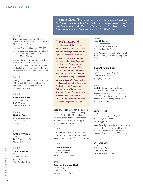1 9 9 2

Olga Fyne recently authored three books––*Squirrel Race, Jerry and Sherry,* and *My Shadow Is a Copycat.*

Assistant Principal Alice Lee of P.S. 105 was honored at a celebration of national Women's History Month by State Senator Marty Golden.

Lisette Nieves, who became the first Puerto Rican to win a Rhodes scholarship, is executive director for Year Up NYC and received the 2008 Heroes Award from the Robin Hood Foundation.

#### 1 9 9 3

Sister Joan Gallagher, CSJ, is the principal of St. Joseph High School in Brooklyn. The school is celebrating its 105th anniversary this year.

#### 1 9 9 4

#### **Ilene Berkowitz**

*Class Correspondent* 1575 46 Street Brooklyn, NY 11219

#### 1 9 9 5

#### **Nathan Solat** *Class Correspondent*

2793 Lee Place Bellmore, NY 11710

#### 1 9 9 6

#### **Anthony Vitale**

*Class Correspondent* 1742 Gildersleeve Street Merrick, NY 11566

#### 1 9 9 7

#### **Tara M. Dowd**

*Class Correspondent* 40 West 72 Street Apt. 23A New York, NY 10023 Tisha Y. Lewis, '95,

recently received the J. Michael Parker Award, at the 58th annual National Reading Conference, for significant contributions to adult literacy research. She was also awarded the Ethnicity, Race, and Multilingualism Scholarship in recognition of her area of literacy research and her commitment to membership and involvement in the National Reading Conference. Lewis is a 2008–2010 recipient of the National Council of Teachers of English Research Foundation's Cultivating New Voices among Scholars of Color Fellowship, which provides support to doctoral students and junior scholars who are completing their dissertations.

Robert O'Neill has written the textbook *Digital Character Development: Theory and Practice.* Published by Morgan Kaufmann (Elsevier), the textbook is a theoretical overview of character technology for animation and video games.

#### 1 9 9 8

Tom Moran is a New York City public school teacher and has just finished his second music album, *Ain't Gonna Give Up.*

#### 1 9 9 9

#### **David Moskowitz**

*Class Correspondent* 2327 East 18 Street Brooklyn, NY 11229-4416

#### 2 0 0 1

#### **Tatesha Bennett Clark** *Class Correspondent*

540 East 82 Street Brooklyn, NY 11236-3119

#### 2 0 0 2

Malanna Carey, '94, recently won first place in the Second Annual One-Act Play Festival, sponsored by Stage Door Productions, a local community theater. Entries came from across the United States and foreign countries.The winning play, *The*

*Eclipse,* was written while Carey was a student at Brooklyn College.

**Igor Galanter**

*Class Correspondent* 1342 East 18 Street, Apt. 6C Brooklyn, NY 11230

Greg Ames recently had his first novel, *Buffalo Lockjaw,* published by Hyperion Books.

#### 2 0 0 4

#### **Yael Abraham Fogel**

*Class Correspondent* 570 Ocean Parkway, Apt. 5C Brooklyn, NY 11218-5822 yct.fogel@gmail.com

#### 2 0 0 6

Carla Backmon has a new book, *SaVvmari Survival Guide: A Reference Manual for Surviving Hard Times (SaVvmari, LLC, 2009),* focusing on resources that are needed by those hard-pressed by economic problems.

#### 2 0 0 7

#### **Ezra N. Rich**

*Class Correspondent* 588 West End Avenue, Apt 1B New York, NY 10024-1766 ezrarich@gmail.com

**Irene Brodsky** is teaching freestyle poetry in the IRPE program at Brooklyn College. Her recently published book, *Poetry Unplugged,* is a collection of fifty poems.

#### 2 0 0 8

#### **Stefanie Low**

*Class Correspondent* 3-A Putnam Avenue Glen Cove, NY 11542 stefanielow@yahoo.com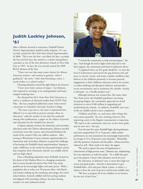## **Judith Lockley Johnson, '61**

After a lifetime devoted to education, Peekskill School District Superintendent Judith Lockley Johnson, '61, was recently named the New York State School Superintendent of 2008. This is not the first––nor likely the last––accolade she has received since she started as a teacher and guidance counselor at one of the first alternative schools in New York City in 1963. In fact, she was recently named the 2008 BCAA Alumna of the Year.

"There were not that many career choices for African American women––and women in general––when I graduated," she notes, "other than becoming a nurse, a social worker, or a school teacher."

Choosing education seemed the right thing to do, however.

"I have never had a minute of regret," says Johnson, who majored in sociology as an undergraduate and hasn't stopped studying since.

She obtained her M.A. from New York University as well as a certificate of advanced studies from SUNY–New Paltz. She has completed additional course work toward a doctorate at Columbia University Teachers College.

"The more I got into it, the more I understood how difficult it is to raise kids in poverty and give them an education," adds the mother of two who has authored, among other publications, a paper on the subject of poverty and education for the *Stanford Law Journal.*

A deputy assistant secretary for elementary and secondary education under the Clinton administration, Johnson traveled extensively across the country and witnessed firsthand the needs of the country's fifty-one million students. After serving as Westchester County assistant superintendent for instruction and curriculum, Johnson accepted the challenge of becoming the Peekskill school superintendent, hoping to make a difference in the nearly five-thousand-student system that comprises three elementary schools, one middle school, and one high school.

Once a flourihing industrial center, Peekskill. located on the shores of the Hudson River, is a changing community that in recent decades has drawn New York City artists pushed out by increasingly higher real estate prices. With a population that is today over 50 percent white, with blacks and Latinos making up the remaining percentage, the town's school district, formerly riddled with low-scoring students and plagued with increasing violence, has been turning around, ever since Johnson's arrival.



"I invited the community to help and participate," she says. And though she had to fight tooth-and-nail to win their support, the community paid heed to Johnson's advice.

"I explained what our five goals should be: to raise the level of achievement and narrow the gap between rich and poor; to recruit, retrain, and retain a quality workforce that believes in the children's potential; to increase parental engagement in their children's education and in the system; to reduce bullying and disruptive behavior and provide a secure environment; and to modernize the schools––mostly in disrepair––in a fiscally prudent way."

Although Johnson was warned that, like many other New York towns, the Peekskill population was facing tax-paying fatigue, the community approved two bond initiatives to invest \$100 million in upgrading and modernizing the schools. In addition, Peekskill's new stateof-the-art middle school is near completion.

"Children need labs, art, and many other things that tests cannot quantify," she says, insisting, however, that improving scores in the Regents examinations is important. "We report to the community each year, review these goals, and set new ones," she says.

Over the past five years, Peekskill high school graduation rates have jumped from 55 to 76 percent, while student performance on state assessments has increasingly improved by an average of 13 to 20 percent across all grades. Meanwhile, with the assistance of parents and the police, violence has been reduced as well. More needs to be done, she argues.

"We need to uproot the sense of hopelessness so characteristic of high-poverty areas," Johnson says, emphasizing her own experience to make her point. "As a child who grew up in the projects, I know what education can do for you."

But education, in Johnson's view, is more than high test scores and good grades. And she is determined to give Peekskill kids––rich and poor; black, Latino, or white––a chance to beat the cycle of poverty and become middle class.

"We have to prepare all of our children to be learners for the rest of their lives."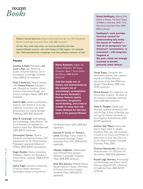# **recent** *Books*

**Robert David Johnson,** History, *All the Way with LBJ: The 1964 Presidential Election,* Cambridge University Press, 2009, \$80, hardcover.

*All the Way with LBJ mines* **an extraordinarily rich but underutilized source—the full range of LBJ tapes—to analyze the 1964 presidential campaign and the political culture of the**

#### **Faculty**

Jonathan E.Adler, Philosophy, and Lance J. Rips, eds., *Reasoning: Studies of Human Inference and Its Foundations,* Cambridge University Press, 2008, \$135, hardcover.

Noel S.Anderson, Political Science, with Haroon Kharem, Education, eds., *Education as Freedom: African American Educational Thought and Activism,* Lexington Books, 2008, \$70, hardcover.

David E. Balk, Health and Nutrition Sciences, and Charles A. Corr, eds., *Adolescent Encounters with Death, Bereavement, and Coping,* Springer Publishing, 2009, \$65, hardcover.

Jillian R. Cavanaugh, Anthropology and Archaeology, *Living Memory: The Social Aesthetics of Language in a Northern Italian Town,* Wiley-Blackwell, 2009, \$89.95, hardcover.

Christopher Dunbar, Physical Education and Exercise Science, *ECG Interpretation for the Clinical Exercise Physiologist,* Lippincott Williams & Wilkins, 2009, \$48.95, spiral-bound.

Roger Dunkle, Classics (emeritus), *Gladiators: Violence and Spectacle in Ancient Rome,* Longman, 2008, \$39.95, hardcover.

Joshua Fogel, Economics, *Consumers of Internet Health Information: Psychological Impact among Women*

**Marie Rutkoski,** English, *The* **primarily urban African** *Cabinet of Wonders: The Kronos Chronicles—Book 1,* Farrar, Straus and Giroux, 2008, \$16.95, hardcover.

**Add this heady mix of history and enchantment to the season's list of astonishingly accomplished first novels: Rutkoski's fantasy features quirky characters, imaginative world building, and a hint of trouble to come that will create demand for the next book in the planned Kronos**

*with Breast Cancer,* VDM, 2009, \$63, paperback.

Kenneth A. Gould and Tammy L. Lewis, Sociology, *Twenty Lessons in Environmental Sociology,* Oxford University Press USA, 2008, \$42.95, paperback.

Olympia Hadjiliadis, Mathematics, and H.Vincent Poor, *Quickest Detection,* Cambridge University Press, 2008, \$90, hardcover.

Janet Elise Johnson, Political Science, *Gender Violence in Russia: The Politics of Feminist Intervention,* Indiana University Press, 2009, \$24.95, paperback.

**Gunja SenGupta,** History, *From Slavery to Poverty: The Racial Origins of Welfare in NewYork, 1840–1918,* New York University Press, 2009, \$48, hardcover.

**SenGupta's work provides historical context for understanding why today the notion of "welfare" with all its derogatory "un-American" connotations—is associated… with programs targeted at the poor, which are wrongly assumed to benefit**

Daniel Kopec, Computer and Information Science, with Lubomir Ftacnik and Walter Browne, *Champions of the New Millennium,* Quality Chess Books, 2009, euro 24.99, hardcover.

Rachel Kousser, Art, *Hellenistic and Roman Ideal Sculpture: The Allure of the Classical,* Cambridge University Press, 2008, \$85 hardcover.

David K. Meagher, Health and Nutrition Sciences (emeritus), *Zach and His Dog: A Story of Bonding, Love, and Loss for Children and Adults to Share Together,* AuthorHouse, 2009, \$23.99, paperback.

Andrew Seth Meyer, History, and John S. Major, Sarah A. Queen, Harold D. Roth, eds., *The Huainanzi: A Guide to the Theory and Practice of Government in Early Han China,* by Liu An, King of Huainan, Columbia University Press, 2009.

Florence Namulundah, Education, *Multiculturalism 101,* McGraw-Hill Humanities, 2009, \$30, paperback.

Russell Leigh Sharman, *Anthropology and Archaeology,* and Cheryl Harris Sharman, *Nightshift NYC,* University of California Press, 2008, \$24.95 hardcover.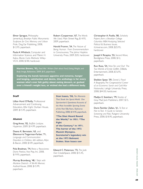Elmer Sprague, Philosophy (emeritus), *Brooklyn Public Monuments: Sculpture for Civic Memory and Urban Pride,* Dog Ear Publishing, 2008, \$12.95, paperback.

Paula A.Whitlock, Computer and Information Science, and Malvin H. Kalos, *Monte Carlo Methods,* Wiley-VCH, 2008, \$180, hardcover.

Robert Cooperman, '67, *The Words We Used,* Main Street Rag, \$14.95, 2009, paperback.

Harold Fromm, '54, *The Nature of Being Human: From Environmentalism to Consciousness,* The Johns Hopkins University Press, 2009, \$35, hardcover.

**Harriet Brown, '92,** *Feed Me! Writers Dish about Food, Eating,Weight, and Body Image,* Ballantine, 2009, \$15, paperback.

**Exploring the bonds between appetite and remorse, hunger and longing, satisfaction and desire, this anthology is for every woman who's ever felt guilty about eating dessert, or gushed over a friend's weight loss, or wished she had a different body.**

#### **Staff**

Lillian Hurd O'Reilly, Professional Advancement and Continuing Education, *After Eight,* Durban House, 2009, \$15.95, paperback.

#### **Alumni**

Greg Ames, '02, *Buffalo Lockjaw,* Hyperion, 2009, \$14.99, paperback.

Deena K. Bernstein, '63, and Ellenmorris Tiegerman-Farber, '71, *Language and Communication Disorders in Children,* 6th edition, Allyn & Bacon, 2008, \$109, paperback.

Pola Bradman, '74, *Retos y Reacciones: Diario Poetico,* Vox Pop, Inc. 2008, \$19.95, paperback.

Murray Bromberg, '48, *I Slept with Marlene Dietrich: A Tell-All Memoir,* AuthorHouse, 2008, \$15.99, paperback.

**Stan Isaacs, '50,** *Ten Moments That Shook the Sports World: One Sportswriter's Eyewitness Accounts of the Most Incredible Sporting Events* of the Past Fifty Years, Skyhorse Publishing, 2008, \$14.95, paperback.

**"The Shot Heard Round the World," in 1951. "The Fight of the Century," in 1971. The horror of the 1972 Munich Olympics. Secretariat's legendary win at the 1973 Belmont Stakes. Stan Isaacs saw**

Edward C. Patterson, '72, *The Jade Owl,* CreateSpace, 2008, \$15.45, paperback.

Christopher A. Puello, '80, *Scholarly Papers from a Brooklyn College Columbia MBA Analyzing Selected Political & Business Issues,* iUniverse.com, 2008, \$25.95, hardcover.

Joseph V. Ricapito, '55, *Second Wave,* Bordighera Press, 2008, \$12, paperback.

Ron Ross, '54, *Nine Ten and Out! The Two Worlds of Emile Griffith,* DiBella Entertainment, 2008, \$16.95, paperback.

Sheldon Spear, '59, *Daniel J. Flood: A Biography,The Congressional Career of an Economic Savior and Cold War Nationalist,* Lehigh University Press, 2008, \$44.50, hardcover.

Madlyn E. Steinhart, '79, *Shades of Gray,* Mad Jock Publishers, 2007, \$15, paperback.

Doris Teichler Zallen, '61, *To Test or Not to Test: A Guide to Genetic Screening and Risk,* Rutgers University Press, 2008, \$18.95, paperback.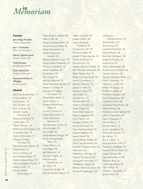# **in** *Memoriam*

#### **Faculty**

John Hope Franklin *History Department*

Joe L. Kincheloe *School of Education*

Marion Neville-Lynch *School of Education*

Fred Schuster *Biology Department*

Elvira (Vera) Tarr *School of Education*

Reverend Charles E. **Whipple** *Student Center*

#### **Alumni**

Gertrude Brand Alster, '33 Irving Goldman, '33 Ossa Sowers, '33 Alex Temchin, '33 Ruth Coltman, '34 Dorothy Lepley Damberg, '34 Beatrice Diamond, '34 Goldie Lable, '34 Alfred Fafarman, '35 Natalie Schumer Greene, '35 S. Gerald Hindin, '35 Irving Lutsky Lewis, '35 Margaret Conway McGreevy, '35 Mae Weintraub Zlotnik, '35 Sidney Teitel, '36 Henry B.Wilner, '36 Sara Rudman Anker, '37 Estelle Ludwig Dinkes, '37 Claire Dollingher Hutner, '37 Joseph Landin, '37 Frances Shakin Schoenberg, '37

Helen Epstein Golden, '38 Allan W. Ifill, '38 Marian Holtzberg Kent, '38 Anne Schulman Miller, '38 Robert Rosenthal, '38 Thelma Gottesman Steinfeld, '38 Rebecca Shafran Coven, '39 Shirley Pecker Markowitz, '39 Morton H. Brofman, '40 Sidney Goldman, '40 David Korn, '40 Paul Zweier, '40 Bertram Backinoff, '41 Helen Nehemiah Berman, '41 Rosalyn S. Cohen, '41 Carmela De Stefano De Angelis, '41 Muriel Steier Raffer, '41 Aaron Robins, '41 Shulamis Warshavsky Toder, '41 Arnold A.Witoff, '41 Helen Weiss Eden, '42 Evelyn Zamichow Neuman, '42 Alva Sherman Fischer, '43 Arne Knutsen, '43 Julius Vogel, '43 Freda Berezow Borger, '44 Shirley Morgenlander Taylor, '44 Helen McRory, '45 Leon Baker, '46 Jack Botwinick, '46 Seymour Glagov, '46 Ruth Fortinsky Schwimmer, '46 Jack Goor, '47 Emmerich Handler, '47 Judy Gorenstein Salwen, '47

Joseph Chalfin, '48 Grace Reinhardt Goldberg, '48 Constantine Hall, '49 Murray Schaffer, '49 Joseph M. Barumgarten, '50 Stanley Kirschner, '50 Bernard Lynn, '50 Helene Garbow Mandel, '50 Ben Morreale (Morreali), '50 Betty Meltzer Post, '50 Robert George Schipf, '50 Henry D. Isenberg, '51 Bernard Newman, '51 Joseph S. Fisher, '52 Seymour Landy, '52 Jack Linden, '52 Bernard Pine, '52 Morton Alter, '53 David H. Kranzler, '53 Shelton Bank, '54 Diana Stein Garey, '54 Robert Leggiadro, '54 Lon T. Palmer, '54 George S. Rotter, '54 Lenore Schulman, '54 Elaine Baranick Feder, '55 Donald Hallstein, '55 Lester Hirsch, '55 Shirley Pollack Shaffer, '55 Henry Yale Berkowitz, '56 Elizabeth Paneque Cetta, '56 Alvin Klein, '56 Frederick L. Schuster, '56 Maurice M. Averner, '57 Julie Jacobs Perlmutter, '57 Wolfgang E. Besser, '58 Barbara Haber De Leeuw, '58 Harvey B. Nightingale, '58

Milton Antonoff, '48

Vytautas A. Aleksandravicius, '59 Rose Avellino, '59 Ronald King, '59 Lawrence Rosmarin, '59 Richard Borek, '60 Berthold Goldbaum, '60 Joseph D. Murphy, '60 Frank Parisi, '60 Melvin Steinhandler, '60 Rhoda Levine Ehrreich, '62 Herbert Schwarz, '62 Samuel (Wolinsky) Wolin, '63 Mark S. Feierstein, '65 Howard L. Lasher, '65 William M. Dugan, '67 William K. Lasher, '67 Michael L. Gargano, '68 Anne P. Josephson, '68 Howard Z. Price, '68 Jacqueline Rose Romm, '68 Nettie Stolper, '68 Arlene Bossowick Sambur, '69 Judith A.Waldman, '69 Sally R. Malamud, '71 John W. Abreu, '72 Kenneth Burns, '72 Aurea Candelario, '72 Monroa B. Goutier, '72 Jay Abrosh ,'73 Bruce L. Berg, '75 Elyse Buchman Tyrrel, '77 Paulette A. Dollinger, '78 Roselyn Glicher Steier, '78 Joseph Zelman, '78 Gertrude Jefferson, '80 Maureen Raso, '81 Ceceil Rosenblum, '82 Gary Tydings, '83 Charles L. Fessenden, '91 James Walter, '03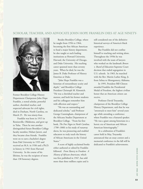### SCHOLAR, TEACHER, AND ADVOCATE JOHN HOPE FRANKLIN DIES AT AGE NINETY-



Former Brooklyn College History Department Chairperson John Hope Franklin, a noted scholar, powerful author, cherished teacher, and respected advocate for civil rights, died in Durham, North Carolina, on March 25. He was ninety-four.

Franklin was born in 1915 in Rentiesville, Oklahoma, and grew up in Tulsa. There he met another distinguished future Brooklyn College faculty member, Hobart Jarrett, and they became close friends. Franklin went on to earn a bachelor's degree from Fisk University in 1935 and received an M.A. in 1936 and a Ph.D. in history in 1941 from Harvard University. In the course of his lifetime, he was the recipient of more than 130 honorary degrees.

Besides Brooklyn College, where he taught from 1956 to 1964, becoming the first African American to head a major history department, he also taught at such leading institutions as Howard University, Harvard, the University of Chicago, and Duke University. His teaching career spanned more than seventy years. When he died, he was the James B. Duke Professor of History Emeritus at Duke.

"John Hope Franklin was a historian of extraordinary acuity and depth," said Brooklyn College President Christoph M. Kimmich. "He was a cherished teacher and mentor, and both his former students and his colleagues remember him with affection and respect."

"He was an outstanding and dedicated scholar," said Professor George Cunningham, chairperson of the Africana Studies Department at Brooklyn College. "From his first book, *The Free Negro in North Carolina, 1790–1860,* to his study of runaway slaves, he was pioneering and enabled educators to truly teach the history of African Americans in the United States."

A score of highly acclaimed books either authored or edited by Franklin followed. *From Slavery to Freedom: A History of African-Americans,* which was first published in 1947, has sold more than three million copies and is

still considered one of the definitive historical surveys of America's black experience.

But Franklin did not confine himself to teaching and writing alone. Throughout the 1950s he was involved with the team of lawyers who worked on the landmark *Brown v. Board of Education* Supreme Court decision that ended segregation in U.S. schools. In 1965, he marched with the Rev. Martin Luther King, Jr. from Selma to Montgomery, Alabama.

In 1995, President Bill Clinton awarded Franklin the Presidential Medal of Freedom, the highest civilian honor that an American citizen can receive.

Professor David Troyansky, chairperson of the Brooklyn College History Department, said that he was "awestruck to meet him" several years ago while attending a conference where Franklin was a featured speaker. "He was a giant among historians in a heroic era of American and African American historiography."

At a celebration of Franklin's career held in May, Troyansky announced that an essay contest and a memorial conference in the fall will be dedicated to Franklin's achievements.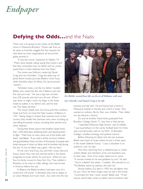# *Endpaper*

# **Defying the Odds…and the Nazis**

There was a lot going on last winter at the Bielski home in Midwood, Brooklyn. Phone calls from as far away as Australia clogged the line; requests for interviews by news organizations all around the globe poured in.

"It was the movie," explained Zvi Bielski, '74. "There were people calling, saying they loved it and that they remember how my father and my uncles saved them or their relatives from the Nazis."

The movie was *Defiance,* costarring Daniel Craig and Liev Schreiber. Craig, the latest star of James Bond movies, portrays Bielski's Uncle Tuvia, while Schreiber plays his father, Zus (pronounced "zoosh").

"Schreiber looks a lot like my father," recalled Bielski, who visited the film set in Belarus and met the cast and crew. "He was a big man, six-foottwo, 220 pounds, and had scars all over. When I was seven or eight, I stuck my finger in the holes made by bullets in my father's skin, and he told me,'The Nazis did that.'"

The movie relates how Zus,Tuvia, and their brothers Asael and Aron survived the Nazi invasion of Belarus in 1941. Taking refuge in forests that covered much of the country, they eluded the Germans who were rounding up and killing thousands of Jews, including their parents and other relatives.

During their forest sojourn the brothers saved more than 1,250 other Jews, sheltering them and teaching them to fight. "That's how so many came out of the forest with them," said Bielski. "If you add in all the survivors' children and grandchildren, there are tens of thousands of people alive today because of what my father and his brothers did during the war. To me, my father was a giant. He's my hero."

At the war's end,Tuvia, Zus, and their wives, Lilka and Sonya, whom they met and married while in the forest, emigrated to Israel, where Zvi was born. When he was four, his family moved to New York City. They settled in Brooklyn to be close to older siblings who had arrived in America before the war.

In Belarus the Bielski brothers had been sons of a small-town mill owner. In Brooklyn they had to adapt to an urban lifestyle and much more. Zus went into the taxi



*Zvi Bielski, second from left, on the set of* **Defiance** *with stars Liev Schreiber and Daniel Craig to his left.*

business and did well. He and Sonya had a home in Midwood, another in Florida, and a third in Israel. They wanted an ordinary life for their own children. Their oldest son, Jay, became a doctor.

Zvi and his brother David both graduated from Brooklyn College. David, '71, now lives in New Jersey.

"I attended Midwood High School," said Zvi Bielski. "I was quarterback on the varsity football team for three years and did pretty well on my SATs. At Brooklyn College, I studied sociology and political science."

Before following his father into the taxi business, Bielski went back to Israel, where he put in three years in the Israeli Defense Forces. "I was a volunteer in an antiterror unit," he said.

One time, returning from a weekend pass in civilian clothes, Bielski and members of his unit boarded a bus to their base. One of his mates called out his name. "A woman looked at me and grabbed my arm," he said. "'You're a Bielski?' she asked. I nodded. She started to cry. 'The Bielskis saved my parents,' she told me."

Shortly before Zus died in 1995, the old fighter told his son,"Don't let them forget what we did in the forest." "I promised him that I never would," Bielski said. "I'll tell anyone who'll listen what my father and his brothers did."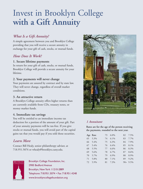# Invest in Brooklyn College **with a Gift Annuity**

## *What Is a Gift Annuity?*

A simple agreement between you and Brooklyn College providing that you will receive a secure annuity in exchange for your gift of cash, stocks, or mutual funds.

### *How Does It Work?*

### **1. Secure lifetime payments**

In return for your gift of cash, stocks, or mutual funds, Brooklyn College will provide a secure annuity for your lifetime.

### **2. Your payments will never change**

Your payments are assured by contract and by state law. They will never change, regardless of overall market conditions.

### **3. An attractive return**

A Brooklyn College annuity offers higher returns than are currently available from CDs, treasury notes, or money market funds.

### **4. Immediate tax savings**

You will be entitled to an immediate income tax deduction for a portion of the amount of your gift. Part of your annuity payments will be tax-free. If you give stocks or mutual funds, you will avoid part of the capital gains tax that you would pay if you sold those securities.

### *Learn More*

Contact Bill Healy, senior philanthropy adviser, at 718.951.5074 or whealy@brooklyn.cuny.edu.



Brooklyn College Foundation, Inc. 2900 Bedford Avenue Brooklyn, New York 11210-2889 Telephone 718.951.5074 • Fax 718.951.4248 www.brooklyncollegefoundation.org



### *1 Annuitant*

**Rates are for the age of the person receiving the payments, rounded to the next year.**

| Age Rate | 73 6.0% | 82 7.5%      |
|----------|---------|--------------|
| 65 5.3%  | 74 6.1% | 83 7.7%      |
| 66 5.4%  | 75 6.3% | 84 7.9%      |
| 67 5.4%  | 76 6.4% | 85 8.1%      |
| 68 5.5%  | 77 6.6% | 86 8.3%      |
| 69 5.6%  | 78 6.7% | 87 8.6%      |
| 70 5.7%  | 79 6.9% | 88 8.9%      |
| 71 5.8%  | 80 7.1% | 89 9.2%      |
| 72 5.9%  | 81 7.3% | $90 + 9.5\%$ |